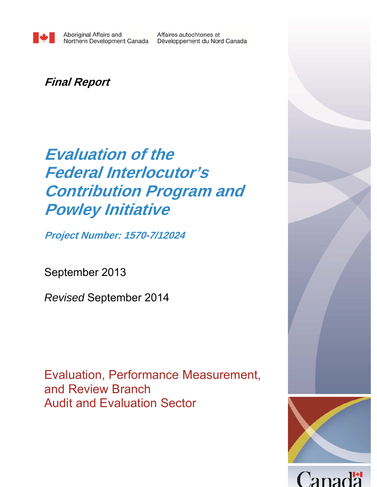Affaires autochtones et Développement du Nord Canada

## **Final Report**

# **Evaluation of the Federal Interlocutor's Contribution Program and Powley Initiative**

**Project Number: 1570-7/12024**

September 2013

*Revised* September 2014

Evaluation, Performance Measurement, and Review Branch Audit and Evaluation Sector

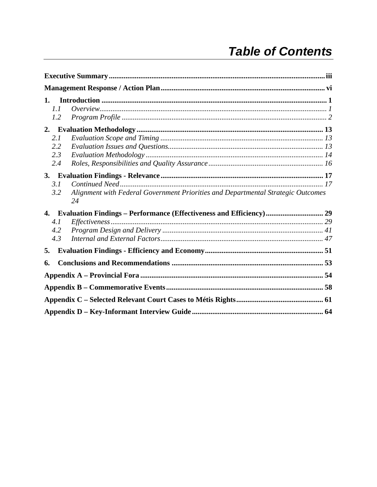| 1.  |                                                                                        |  |  |  |  |  |  |  |  |
|-----|----------------------------------------------------------------------------------------|--|--|--|--|--|--|--|--|
| 1.1 |                                                                                        |  |  |  |  |  |  |  |  |
| 1.2 |                                                                                        |  |  |  |  |  |  |  |  |
| 2.  |                                                                                        |  |  |  |  |  |  |  |  |
| 2.1 |                                                                                        |  |  |  |  |  |  |  |  |
| 2.2 |                                                                                        |  |  |  |  |  |  |  |  |
| 2.3 |                                                                                        |  |  |  |  |  |  |  |  |
| 2.4 |                                                                                        |  |  |  |  |  |  |  |  |
|     |                                                                                        |  |  |  |  |  |  |  |  |
| 3.1 |                                                                                        |  |  |  |  |  |  |  |  |
| 3.2 | Alignment with Federal Government Priorities and Departmental Strategic Outcomes<br>24 |  |  |  |  |  |  |  |  |
|     | 4. Evaluation Findings – Performance (Effectiveness and Efficiency) 29                 |  |  |  |  |  |  |  |  |
| 4.1 |                                                                                        |  |  |  |  |  |  |  |  |
| 4.2 |                                                                                        |  |  |  |  |  |  |  |  |
| 4.3 |                                                                                        |  |  |  |  |  |  |  |  |
| 5.  |                                                                                        |  |  |  |  |  |  |  |  |
| 6.  |                                                                                        |  |  |  |  |  |  |  |  |
|     |                                                                                        |  |  |  |  |  |  |  |  |
|     |                                                                                        |  |  |  |  |  |  |  |  |
|     |                                                                                        |  |  |  |  |  |  |  |  |
|     |                                                                                        |  |  |  |  |  |  |  |  |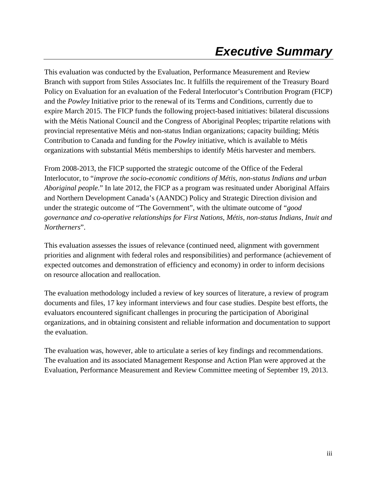## *Executive Summary*

This evaluation was conducted by the Evaluation, Performance Measurement and Review Branch with support from Stiles Associates Inc. It fulfills the requirement of the Treasury Board Policy on Evaluation for an evaluation of the Federal Interlocutor's Contribution Program (FICP) and the *Powley* Initiative prior to the renewal of its Terms and Conditions, currently due to expire March 2015. The FICP funds the following project-based initiatives: bilateral discussions with the Métis National Council and the Congress of Aboriginal Peoples; tripartite relations with provincial representative Métis and non-status Indian organizations; capacity building; Métis Contribution to Canada and funding for the *Powley* initiative, which is available to Métis organizations with substantial Métis memberships to identify Métis harvester and members.

From 2008-2013, the FICP supported the strategic outcome of the Office of the Federal Interlocutor, to "*improve the socio-economic conditions of Métis, non-status Indians and urban Aboriginal people.*" In late 2012, the FICP as a program was resituated under Aboriginal Affairs and Northern Development Canada's (AANDC) Policy and Strategic Direction division and under the strategic outcome of "The Government", with the ultimate outcome of "*good governance and co-operative relationships for First Nations, Métis, non-status Indians, Inuit and Northerners*".

This evaluation assesses the issues of relevance (continued need, alignment with government priorities and alignment with federal roles and responsibilities) and performance (achievement of expected outcomes and demonstration of efficiency and economy) in order to inform decisions on resource allocation and reallocation.

The evaluation methodology included a review of key sources of literature, a review of program documents and files, 17 key informant interviews and four case studies. Despite best efforts, the evaluators encountered significant challenges in procuring the participation of Aboriginal organizations, and in obtaining consistent and reliable information and documentation to support the evaluation.

The evaluation was, however, able to articulate a series of key findings and recommendations. The evaluation and its associated Management Response and Action Plan were approved at the Evaluation, Performance Measurement and Review Committee meeting of September 19, 2013.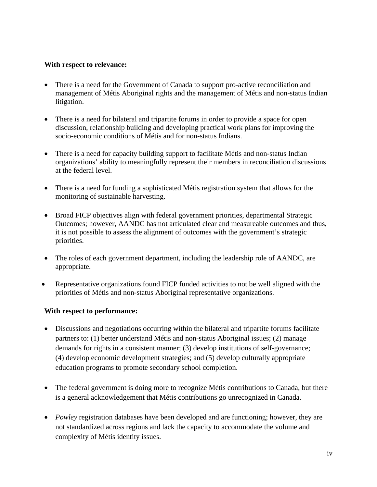#### **With respect to relevance:**

- There is a need for the Government of Canada to support pro-active reconciliation and management of Métis Aboriginal rights and the management of Métis and non-status Indian litigation.
- There is a need for bilateral and tripartite forums in order to provide a space for open discussion, relationship building and developing practical work plans for improving the socio-economic conditions of Métis and for non-status Indians.
- There is a need for capacity building support to facilitate Métis and non-status Indian organizations' ability to meaningfully represent their members in reconciliation discussions at the federal level.
- There is a need for funding a sophisticated Métis registration system that allows for the monitoring of sustainable harvesting.
- Broad FICP objectives align with federal government priorities, departmental Strategic Outcomes; however, AANDC has not articulated clear and measureable outcomes and thus, it is not possible to assess the alignment of outcomes with the government's strategic priorities.
- The roles of each government department, including the leadership role of AANDC, are appropriate.
- Representative organizations found FICP funded activities to not be well aligned with the priorities of Métis and non-status Aboriginal representative organizations.

#### **With respect to performance:**

- Discussions and negotiations occurring within the bilateral and tripartite forums facilitate partners to: (1) better understand Métis and non-status Aboriginal issues; (2) manage demands for rights in a consistent manner; (3) develop institutions of self-governance; (4) develop economic development strategies; and (5) develop culturally appropriate education programs to promote secondary school completion.
- The federal government is doing more to recognize Métis contributions to Canada, but there is a general acknowledgement that Métis contributions go unrecognized in Canada.
- *Powley* registration databases have been developed and are functioning; however, they are not standardized across regions and lack the capacity to accommodate the volume and complexity of Métis identity issues.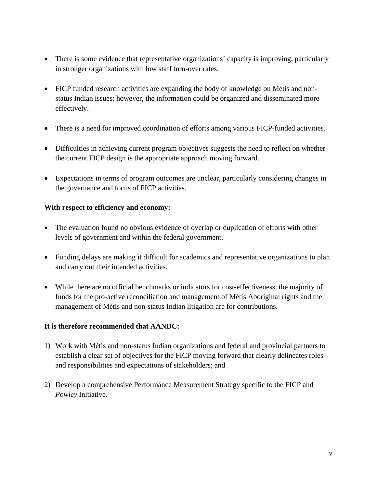- There is some evidence that representative organizations' capacity is improving, particularly in stronger organizations with low staff turn-over rates.
- FICP funded research activities are expanding the body of knowledge on Métis and nonstatus Indian issues; however, the information could be organized and disseminated more effectively.
- There is a need for improved coordination of efforts among various FICP-funded activities.
- Difficulties in achieving current program objectives suggests the need to reflect on whether the current FICP design is the appropriate approach moving forward.
- Expectations in terms of program outcomes are unclear, particularly considering changes in the governance and focus of FICP activities.

#### **With respect to efficiency and economy:**

- The evaluation found no obvious evidence of overlap or duplication of efforts with other levels of government and within the federal government.
- Funding delays are making it difficult for academics and representative organizations to plan and carry out their intended activities.
- While there are no official benchmarks or indicators for cost-effectiveness, the majority of funds for the pro-active reconciliation and management of Métis Aboriginal rights and the management of Métis and non-status Indian litigation are for contributions.

#### **It is therefore recommended that AANDC:**

- 1) Work with Métis and non-status Indian organizations and federal and provincial partners to establish a clear set of objectives for the FICP moving forward that clearly delineates roles and responsibilities and expectations of stakeholders; and
- 2) Develop a comprehensive Performance Measurement Strategy specific to the FICP and *Powley* Initiative.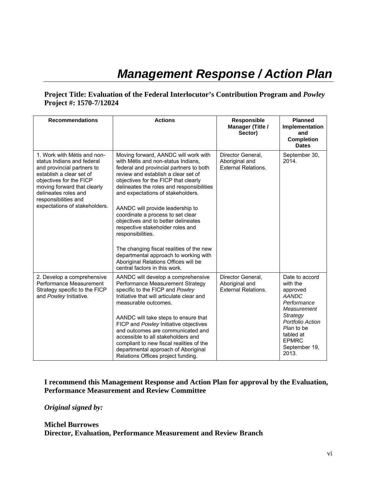## *Management Response / Action Plan*

#### **Project Title: Evaluation of the Federal Interlocutor's Contribution Program and** *Powley* **Project #: 1570-7/12024**

|                                                                                                                                                                                                                                                                | <b>Actions</b>                                                                                                                                                                                                                                                                                                                                                                                                                                                                                                                                                                                                                |                                                                   | <b>Planned</b>                                                                                                                                                                            |
|----------------------------------------------------------------------------------------------------------------------------------------------------------------------------------------------------------------------------------------------------------------|-------------------------------------------------------------------------------------------------------------------------------------------------------------------------------------------------------------------------------------------------------------------------------------------------------------------------------------------------------------------------------------------------------------------------------------------------------------------------------------------------------------------------------------------------------------------------------------------------------------------------------|-------------------------------------------------------------------|-------------------------------------------------------------------------------------------------------------------------------------------------------------------------------------------|
| <b>Recommendations</b>                                                                                                                                                                                                                                         |                                                                                                                                                                                                                                                                                                                                                                                                                                                                                                                                                                                                                               | <b>Responsible</b><br>Manager (Title /<br>Sector)                 | Implementation<br>and<br><b>Completion</b><br><b>Dates</b>                                                                                                                                |
| 1. Work with Métis and non-<br>status Indians and federal<br>and provincial partners to<br>establish a clear set of<br>objectives for the FICP<br>moving forward that clearly<br>delineates roles and<br>responsibilities and<br>expectations of stakeholders. | Moving forward, AANDC will work with<br>with Métis and non-status Indians.<br>federal and provincial partners to both<br>review and establish a clear set of<br>objectives for the FICP that clearly<br>delineates the roles and responsibilities<br>and expectations of stakeholders.<br>AANDC will provide leadership to<br>coordinate a process to set clear<br>objectives and to better delineates<br>respective stakeholder roles and<br>responsibilities.<br>The changing fiscal realities of the new<br>departmental approach to working with<br>Aboriginal Relations Offices will be<br>central factors in this work. | Director General,<br>Aboriginal and<br><b>External Relations.</b> | September 30,<br>2014.                                                                                                                                                                    |
| 2. Develop a comprehensive<br>Performance Measurement<br>Strategy specific to the FICP<br>and Powley Initiative.                                                                                                                                               | AANDC will develop a comprehensive<br>Performance Measurement Strategy<br>specific to the FICP and Powley<br>Initiative that will articulate clear and<br>measurable outcomes.<br>AANDC will take steps to ensure that<br>FICP and Powley Initiative objectives<br>and outcomes are communicated and<br>accessible to all stakeholders and<br>compliant to new fiscal realities of the<br>departmental approach of Aboriginal<br>Relations Offices project funding.                                                                                                                                                           | Director General.<br>Aboriginal and<br><b>External Relations.</b> | Date to accord<br>with the<br>approved<br><b>AANDC</b><br>Performance<br>Measurement<br>Strategy<br>Portfolio Action<br>Plan to be<br>tabled at<br><b>EPMRC</b><br>September 19,<br>2013. |

#### **I recommend this Management Response and Action Plan for approval by the Evaluation, Performance Measurement and Review Committee**

#### *Original signed by:*

#### **Michel Burrowes Director, Evaluation, Performance Measurement and Review Branch**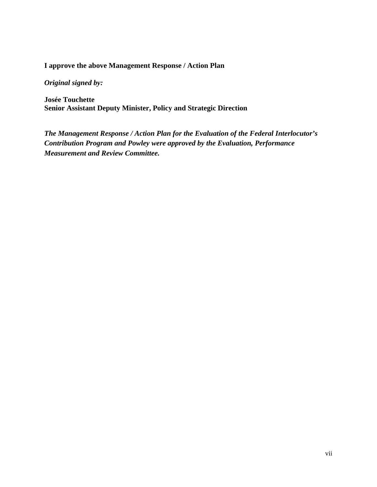#### **I approve the above Management Response / Action Plan**

*Original signed by:* 

**Josée Touchette Senior Assistant Deputy Minister, Policy and Strategic Direction** 

*The Management Response / Action Plan for the Evaluation of the Federal Interlocutor's Contribution Program and Powley were approved by the Evaluation, Performance Measurement and Review Committee.*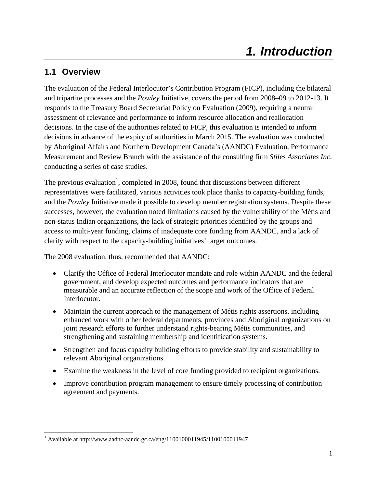## **1.1 Overview**

The evaluation of the Federal Interlocutor's Contribution Program (FICP), including the bilateral and tripartite processes and the *Powley* Initiative, covers the period from 2008–09 to 2012-13. It responds to the Treasury Board Secretariat Policy on Evaluation (2009), requiring a neutral assessment of relevance and performance to inform resource allocation and reallocation decisions. In the case of the authorities related to FICP, this evaluation is intended to inform decisions in advance of the expiry of authorities in March 2015. The evaluation was conducted by Aboriginal Affairs and Northern Development Canada's (AANDC) Evaluation, Performance Measurement and Review Branch with the assistance of the consulting firm *Stiles Associates Inc*. conducting a series of case studies.

The previous evaluation<sup>1</sup>, completed in 2008, found that discussions between different representatives were facilitated, various activities took place thanks to capacity-building funds, and the *Powley* Initiative made it possible to develop member registration systems. Despite these successes, however, the evaluation noted limitations caused by the vulnerability of the Métis and non-status Indian organizations, the lack of strategic priorities identified by the groups and access to multi-year funding, claims of inadequate core funding from AANDC, and a lack of clarity with respect to the capacity-building initiatives' target outcomes.

The 2008 evaluation, thus, recommended that AANDC:

- Clarify the Office of Federal Interlocutor mandate and role within AANDC and the federal government, and develop expected outcomes and performance indicators that are measurable and an accurate reflection of the scope and work of the Office of Federal Interlocutor.
- Maintain the current approach to the management of Métis rights assertions, including enhanced work with other federal departments, provinces and Aboriginal organizations on joint research efforts to further understand rights-bearing Métis communities, and strengthening and sustaining membership and identification systems.
- Strengthen and focus capacity building efforts to provide stability and sustainability to relevant Aboriginal organizations.
- Examine the weakness in the level of core funding provided to recipient organizations.
- Improve contribution program management to ensure timely processing of contribution agreement and payments.

 <sup>1</sup> Available at http://www.aadnc-aandc.gc.ca/eng/1100100011945/1100100011947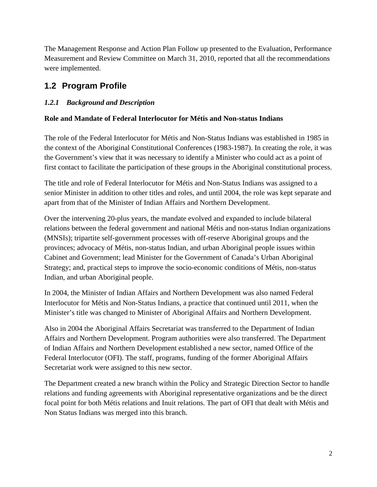The Management Response and Action Plan Follow up presented to the Evaluation, Performance Measurement and Review Committee on March 31, 2010, reported that all the recommendations were implemented.

## **1.2 Program Profile**

### *1.2.1 Background and Description*

#### **Role and Mandate of Federal Interlocutor for Métis and Non-status Indians**

The role of the Federal Interlocutor for Métis and Non-Status Indians was established in 1985 in the context of the Aboriginal Constitutional Conferences (1983-1987). In creating the role, it was the Government's view that it was necessary to identify a Minister who could act as a point of first contact to facilitate the participation of these groups in the Aboriginal constitutional process.

The title and role of Federal Interlocutor for Métis and Non-Status Indians was assigned to a senior Minister in addition to other titles and roles, and until 2004, the role was kept separate and apart from that of the Minister of Indian Affairs and Northern Development.

Over the intervening 20-plus years, the mandate evolved and expanded to include bilateral relations between the federal government and national Métis and non-status Indian organizations (MNSIs); tripartite self-government processes with off-reserve Aboriginal groups and the provinces; advocacy of Métis, non-status Indian, and urban Aboriginal people issues within Cabinet and Government; lead Minister for the Government of Canada's Urban Aboriginal Strategy; and, practical steps to improve the socio-economic conditions of Métis, non-status Indian, and urban Aboriginal people.

In 2004, the Minister of Indian Affairs and Northern Development was also named Federal Interlocutor for Métis and Non-Status Indians, a practice that continued until 2011, when the Minister's title was changed to Minister of Aboriginal Affairs and Northern Development.

Also in 2004 the Aboriginal Affairs Secretariat was transferred to the Department of Indian Affairs and Northern Development. Program authorities were also transferred. The Department of Indian Affairs and Northern Development established a new sector, named Office of the Federal Interlocutor (OFI). The staff, programs, funding of the former Aboriginal Affairs Secretariat work were assigned to this new sector.

The Department created a new branch within the Policy and Strategic Direction Sector to handle relations and funding agreements with Aboriginal representative organizations and be the direct focal point for both Métis relations and Inuit relations. The part of OFI that dealt with Métis and Non Status Indians was merged into this branch.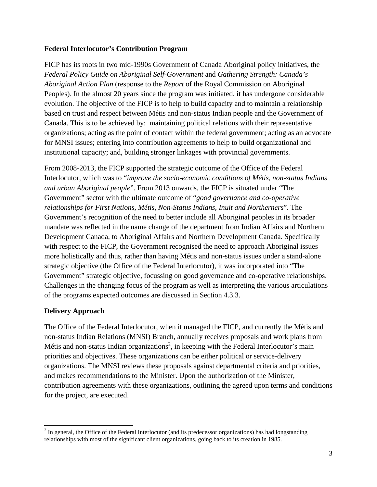#### **Federal Interlocutor's Contribution Program**

FICP has its roots in two mid-1990s Government of Canada Aboriginal policy initiatives, the *Federal Policy Guide on Aboriginal Self-Government* and *Gathering Strength: Canada's Aboriginal Action Plan* (response to the *Report* of the Royal Commission on Aboriginal Peoples). In the almost 20 years since the program was initiated, it has undergone considerable evolution. The objective of the FICP is to help to build capacity and to maintain a relationship based on trust and respect between Métis and non-status Indian people and the Government of Canada. This is to be achieved by: maintaining political relations with their representative organizations; acting as the point of contact within the federal government; acting as an advocate for MNSI issues; entering into contribution agreements to help to build organizational and institutional capacity; and, building stronger linkages with provincial governments.

From 2008-2013, the FICP supported the strategic outcome of the Office of the Federal Interlocutor, which was to "*improve the socio-economic conditions of Métis, non-status Indians and urban Aboriginal people*". From 2013 onwards, the FICP is situated under "The Government" sector with the ultimate outcome of "*good governance and co-operative relationships for First Nations, Métis, Non-Status Indians, Inuit and Northerners*". The Government's recognition of the need to better include all Aboriginal peoples in its broader mandate was reflected in the name change of the department from Indian Affairs and Northern Development Canada, to Aboriginal Affairs and Northern Development Canada. Specifically with respect to the FICP, the Government recognised the need to approach Aboriginal issues more holistically and thus, rather than having Métis and non-status issues under a stand-alone strategic objective (the Office of the Federal Interlocutor), it was incorporated into "The Government" strategic objective, focussing on good governance and co-operative relationships. Challenges in the changing focus of the program as well as interpreting the various articulations of the programs expected outcomes are discussed in Section 4.3.3.

#### **Delivery Approach**

The Office of the Federal Interlocutor, when it managed the FICP, and currently the Métis and non-status Indian Relations (MNSI) Branch, annually receives proposals and work plans from Métis and non-status Indian organizations<sup>2</sup>, in keeping with the Federal Interlocutor's main priorities and objectives. These organizations can be either political or service-delivery organizations. The MNSI reviews these proposals against departmental criteria and priorities, and makes recommendations to the Minister. Upon the authorization of the Minister, contribution agreements with these organizations, outlining the agreed upon terms and conditions for the project, are executed.

 $2^{2}$  In general, the Office of the Federal Interlocutor (and its predecessor organizations) has had longstanding relationships with most of the significant client organizations, going back to its creation in 1985.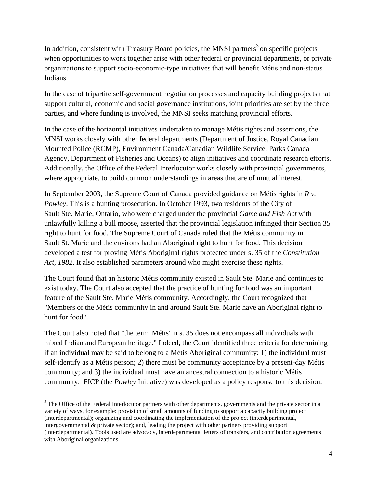In addition, consistent with Treasury Board policies, the MNSI partners<sup>3</sup> on specific projects when opportunities to work together arise with other federal or provincial departments, or private organizations to support socio-economic-type initiatives that will benefit Métis and non-status Indians.

In the case of tripartite self-government negotiation processes and capacity building projects that support cultural, economic and social governance institutions, joint priorities are set by the three parties, and where funding is involved, the MNSI seeks matching provincial efforts.

In the case of the horizontal initiatives undertaken to manage Métis rights and assertions, the MNSI works closely with other federal departments (Department of Justice, Royal Canadian Mounted Police (RCMP), Environment Canada/Canadian Wildlife Service, Parks Canada Agency, Department of Fisheries and Oceans) to align initiatives and coordinate research efforts. Additionally, the Office of the Federal Interlocutor works closely with provincial governments, where appropriate, to build common understandings in areas that are of mutual interest.

In September 2003, the Supreme Court of Canada provided guidance on Métis rights in *R v. Powley*. This is a hunting prosecution. In October 1993, two residents of the City of Sault Ste. Marie, Ontario, who were charged under the provincial *Game and Fish Act* with unlawfully killing a bull moose, asserted that the provincial legislation infringed their Section 35 right to hunt for food. The Supreme Court of Canada ruled that the Métis community in Sault St. Marie and the environs had an Aboriginal right to hunt for food. This decision developed a test for proving Métis Aboriginal rights protected under s. 35 of the *Constitution Act, 1982*. It also established parameters around who might exercise these rights.

The Court found that an historic Métis community existed in Sault Ste. Marie and continues to exist today. The Court also accepted that the practice of hunting for food was an important feature of the Sault Ste. Marie Métis community. Accordingly, the Court recognized that "Members of the Métis community in and around Sault Ste. Marie have an Aboriginal right to hunt for food".

The Court also noted that "the term 'Métis' in s. 35 does not encompass all individuals with mixed Indian and European heritage." Indeed, the Court identified three criteria for determining if an individual may be said to belong to a Métis Aboriginal community: 1) the individual must self-identify as a Métis person; 2) there must be community acceptance by a present-day Métis community; and 3) the individual must have an ancestral connection to a historic Métis community. FICP (the *Powley* Initiative) was developed as a policy response to this decision.

 $3$  The Office of the Federal Interlocutor partners with other departments, governments and the private sector in a variety of ways, for example: provision of small amounts of funding to support a capacity building project (interdepartmental); organizing and coordinating the implementation of the project (interdepartmental, intergovernmental & private sector); and, leading the project with other partners providing support (interdepartmental). Tools used are advocacy, interdepartmental letters of transfers, and contribution agreements with Aboriginal organizations.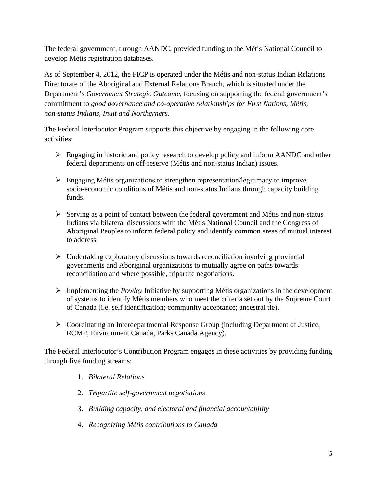The federal government, through AANDC, provided funding to the Métis National Council to develop Métis registration databases.

As of September 4, 2012, the FICP is operated under the Métis and non-status Indian Relations Directorate of the Aboriginal and External Relations Branch, which is situated under the Department's *Government Strategic Outcome*, focusing on supporting the federal government's commitment to *good governance and co-operative relationships for First Nations, Métis, non-status Indians, Inuit and Northerners.*

The Federal Interlocutor Program supports this objective by engaging in the following core activities:

- Engaging in historic and policy research to develop policy and inform AANDC and other federal departments on off-reserve (Métis and non-status Indian) issues.
- $\triangleright$  Engaging Métis organizations to strengthen representation/legitimacy to improve socio-economic conditions of Métis and non-status Indians through capacity building funds.
- $\triangleright$  Serving as a point of contact between the federal government and Métis and non-status Indians via bilateral discussions with the Métis National Council and the Congress of Aboriginal Peoples to inform federal policy and identify common areas of mutual interest to address.
- $\triangleright$  Undertaking exploratory discussions towards reconciliation involving provincial governments and Aboriginal organizations to mutually agree on paths towards reconciliation and where possible, tripartite negotiations.
- Implementing the *Powley* Initiative by supporting Métis organizations in the development of systems to identify Métis members who meet the criteria set out by the Supreme Court of Canada (i.e. self identification; community acceptance; ancestral tie).
- Coordinating an Interdepartmental Response Group (including Department of Justice, RCMP, Environment Canada, Parks Canada Agency).

The Federal Interlocutor's Contribution Program engages in these activities by providing funding through five funding streams:

- 1. *Bilateral Relations*
- 2. *Tripartite self-government negotiations*
- 3. *Building capacity, and electoral and financial accountability*
- 4. *Recognizing Métis contributions to Canada*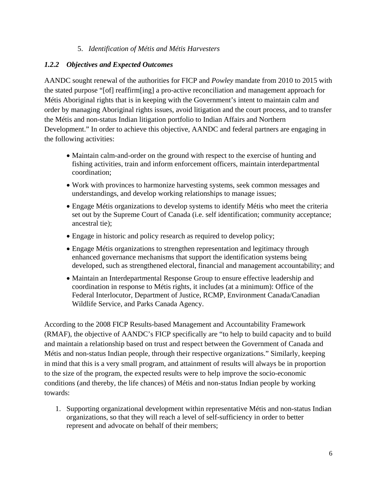#### 5. *Identification of Métis and Métis Harvesters*

#### *1.2.2 Objectives and Expected Outcomes*

AANDC sought renewal of the authorities for FICP and *Powley* mandate from 2010 to 2015 with the stated purpose "[of] reaffirm[ing] a pro-active reconciliation and management approach for Métis Aboriginal rights that is in keeping with the Government's intent to maintain calm and order by managing Aboriginal rights issues, avoid litigation and the court process, and to transfer the Métis and non-status Indian litigation portfolio to Indian Affairs and Northern Development." In order to achieve this objective, AANDC and federal partners are engaging in the following activities:

- Maintain calm-and-order on the ground with respect to the exercise of hunting and fishing activities, train and inform enforcement officers, maintain interdepartmental coordination;
- Work with provinces to harmonize harvesting systems, seek common messages and understandings, and develop working relationships to manage issues;
- Engage Métis organizations to develop systems to identify Métis who meet the criteria set out by the Supreme Court of Canada (i.e. self identification; community acceptance; ancestral tie);
- Engage in historic and policy research as required to develop policy;
- Engage Métis organizations to strengthen representation and legitimacy through enhanced governance mechanisms that support the identification systems being developed, such as strengthened electoral, financial and management accountability; and
- Maintain an Interdepartmental Response Group to ensure effective leadership and coordination in response to Métis rights, it includes (at a minimum): Office of the Federal Interlocutor, Department of Justice, RCMP, Environment Canada/Canadian Wildlife Service, and Parks Canada Agency.

According to the 2008 FICP Results-based Management and Accountability Framework (RMAF), the objective of AANDC's FICP specifically are "to help to build capacity and to build and maintain a relationship based on trust and respect between the Government of Canada and Métis and non-status Indian people, through their respective organizations." Similarly, keeping in mind that this is a very small program, and attainment of results will always be in proportion to the size of the program, the expected results were to help improve the socio-economic conditions (and thereby, the life chances) of Métis and non-status Indian people by working towards:

1. Supporting organizational development within representative Métis and non-status Indian organizations, so that they will reach a level of self-sufficiency in order to better represent and advocate on behalf of their members;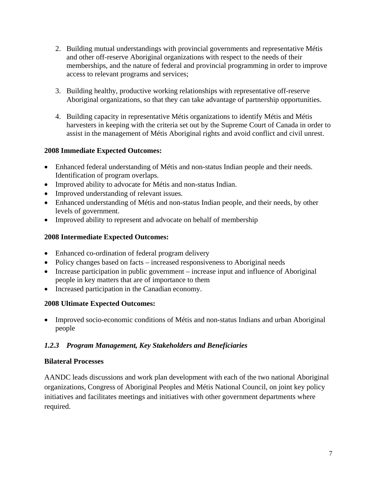- 2. Building mutual understandings with provincial governments and representative Métis and other off-reserve Aboriginal organizations with respect to the needs of their memberships, and the nature of federal and provincial programming in order to improve access to relevant programs and services;
- 3. Building healthy, productive working relationships with representative off-reserve Aboriginal organizations, so that they can take advantage of partnership opportunities.
- 4. Building capacity in representative Métis organizations to identify Métis and Métis harvesters in keeping with the criteria set out by the Supreme Court of Canada in order to assist in the management of Métis Aboriginal rights and avoid conflict and civil unrest.

#### **2008 Immediate Expected Outcomes:**

- Enhanced federal understanding of Métis and non-status Indian people and their needs. Identification of program overlaps.
- Improved ability to advocate for Métis and non-status Indian.
- Improved understanding of relevant issues.
- Enhanced understanding of Métis and non-status Indian people, and their needs, by other levels of government.
- Improved ability to represent and advocate on behalf of membership

#### **2008 Intermediate Expected Outcomes:**

- Enhanced co-ordination of federal program delivery
- Policy changes based on facts increased responsiveness to Aboriginal needs
- Increase participation in public government increase input and influence of Aboriginal people in key matters that are of importance to them
- Increased participation in the Canadian economy.

#### **2008 Ultimate Expected Outcomes:**

• Improved socio-economic conditions of Métis and non-status Indians and urban Aboriginal people

#### *1.2.3 Program Management, Key Stakeholders and Beneficiaries*

#### **Bilateral Processes**

AANDC leads discussions and work plan development with each of the two national Aboriginal organizations, Congress of Aboriginal Peoples and Métis National Council, on joint key policy initiatives and facilitates meetings and initiatives with other government departments where required.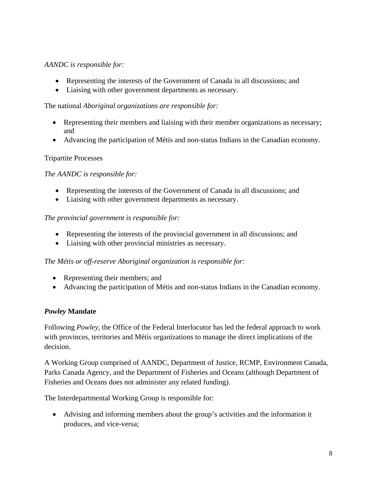#### *AANDC is responsible for:*

- Representing the interests of the Government of Canada in all discussions; and
- Liaising with other government departments as necessary.

The national *Aboriginal organizations are responsible for:* 

- Representing their members and liaising with their member organizations as necessary; and
- Advancing the participation of Métis and non-status Indians in the Canadian economy.

#### Tripartite Processes

#### *The AANDC is responsible for:*

- Representing the interests of the Government of Canada in all discussions; and
- Liaising with other government departments as necessary.

#### *The provincial government is responsible for:*

- Representing the interests of the provincial government in all discussions; and
- Liaising with other provincial ministries as necessary.

#### *The Métis or off-reserve Aboriginal organization is responsible for:*

- Representing their members; and
- Advancing the participation of Métis and non-status Indians in the Canadian economy.

#### *Powley* **Mandate**

Following *Powley*, the Office of the Federal Interlocutor has led the federal approach to work with provinces, territories and Métis organizations to manage the direct implications of the decision.

A Working Group comprised of AANDC, Department of Justice, RCMP, Environment Canada, Parks Canada Agency, and the Department of Fisheries and Oceans (although Department of Fisheries and Oceans does not administer any related funding).

The Interdepartmental Working Group is responsible for:

 Advising and informing members about the group's activities and the information it produces, and vice-versa;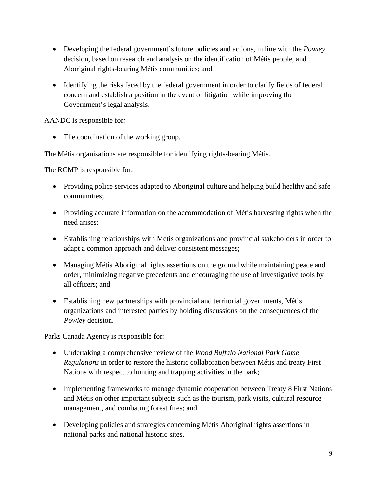- Developing the federal government's future policies and actions, in line with the *Powley* decision, based on research and analysis on the identification of Métis people, and Aboriginal rights-bearing Métis communities; and
- Identifying the risks faced by the federal government in order to clarify fields of federal concern and establish a position in the event of litigation while improving the Government's legal analysis.

AANDC is responsible for*:* 

• The coordination of the working group.

The Métis organisations are responsible for identifying rights-bearing Métis.

The RCMP is responsible for:

- Providing police services adapted to Aboriginal culture and helping build healthy and safe communities;
- Providing accurate information on the accommodation of Métis harvesting rights when the need arises;
- Establishing relationships with Métis organizations and provincial stakeholders in order to adapt a common approach and deliver consistent messages;
- Managing Métis Aboriginal rights assertions on the ground while maintaining peace and order, minimizing negative precedents and encouraging the use of investigative tools by all officers; and
- Establishing new partnerships with provincial and territorial governments, Métis organizations and interested parties by holding discussions on the consequences of the *Powley* decision.

Parks Canada Agency is responsible for:

- Undertaking a comprehensive review of the *Wood Buffalo National Park Game Regulations* in order to restore the historic collaboration between Métis and treaty First Nations with respect to hunting and trapping activities in the park;
- Implementing frameworks to manage dynamic cooperation between Treaty 8 First Nations and Métis on other important subjects such as the tourism, park visits, cultural resource management, and combating forest fires; and
- Developing policies and strategies concerning Métis Aboriginal rights assertions in national parks and national historic sites.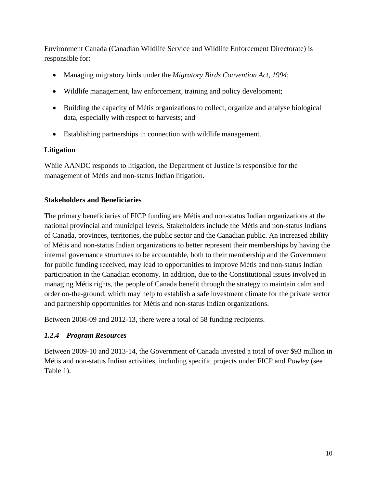Environment Canada (Canadian Wildlife Service and Wildlife Enforcement Directorate) is responsible for:

- Managing migratory birds under the *Migratory Birds Convention Act, 1994*;
- Wildlife management, law enforcement, training and policy development;
- Building the capacity of Métis organizations to collect, organize and analyse biological data, especially with respect to harvests; and
- Establishing partnerships in connection with wildlife management.

#### **Litigation**

While AANDC responds to litigation, the Department of Justice is responsible for the management of Métis and non-status Indian litigation.

#### **Stakeholders and Beneficiaries**

The primary beneficiaries of FICP funding are Métis and non-status Indian organizations at the national provincial and municipal levels. Stakeholders include the Métis and non-status Indians of Canada, provinces, territories, the public sector and the Canadian public. An increased ability of Métis and non-status Indian organizations to better represent their memberships by having the internal governance structures to be accountable, both to their membership and the Government for public funding received, may lead to opportunities to improve Métis and non-status Indian participation in the Canadian economy. In addition, due to the Constitutional issues involved in managing Métis rights, the people of Canada benefit through the strategy to maintain calm and order on-the-ground, which may help to establish a safe investment climate for the private sector and partnership opportunities for Métis and non-status Indian organizations.

Between 2008-09 and 2012-13, there were a total of 58 funding recipients.

#### *1.2.4 Program Resources*

Between 2009-10 and 2013-14, the Government of Canada invested a total of over \$93 million in Métis and non-status Indian activities, including specific projects under FICP and *Powley* (see Table 1).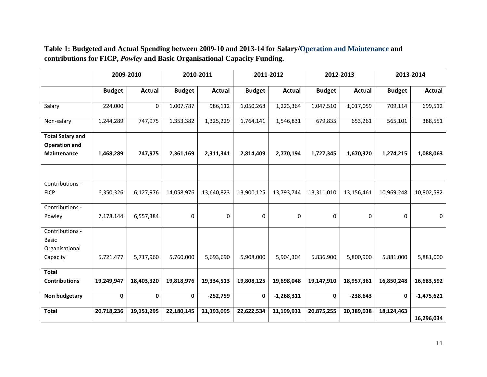|                                                                | 2009-2010     |               | 2010-2011     |               | 2011-2012     |               | 2012-2013     |               | 2013-2014     |               |
|----------------------------------------------------------------|---------------|---------------|---------------|---------------|---------------|---------------|---------------|---------------|---------------|---------------|
|                                                                | <b>Budget</b> | <b>Actual</b> | <b>Budget</b> | <b>Actual</b> | <b>Budget</b> | <b>Actual</b> | <b>Budget</b> | <b>Actual</b> | <b>Budget</b> | <b>Actual</b> |
| Salary                                                         | 224,000       | $\mathbf 0$   | 1,007,787     | 986,112       | 1,050,268     | 1,223,364     | 1,047,510     | 1,017,059     | 709,114       | 699,512       |
| Non-salary                                                     | 1,244,289     | 747,975       | 1,353,382     | 1,325,229     | 1,764,141     | 1,546,831     | 679,835       | 653,261       | 565,101       | 388,551       |
| <b>Total Salary and</b><br><b>Operation and</b><br>Maintenance | 1,468,289     | 747,975       | 2,361,169     | 2,311,341     | 2,814,409     | 2,770,194     | 1,727,345     | 1,670,320     | 1,274,215     | 1,088,063     |
|                                                                |               |               |               |               |               |               |               |               |               |               |
| Contributions -<br><b>FICP</b>                                 | 6,350,326     | 6,127,976     | 14,058,976    | 13,640,823    | 13,900,125    | 13,793,744    | 13,311,010    | 13,156,461    | 10,969,248    | 10,802,592    |
| Contributions -<br>Powley                                      | 7,178,144     | 6,557,384     | 0             | 0             | 0             | $\mathbf 0$   | 0             | $\mathbf 0$   | 0             | $\mathbf 0$   |
| Contributions -<br><b>Basic</b><br>Organisational<br>Capacity  | 5,721,477     | 5,717,960     | 5,760,000     | 5,693,690     | 5,908,000     | 5,904,304     | 5,836,900     | 5,800,900     | 5,881,000     | 5,881,000     |
| <b>Total</b><br><b>Contributions</b>                           | 19,249,947    | 18,403,320    | 19,818,976    | 19,334,513    | 19,808,125    | 19,698,048    | 19,147,910    | 18,957,361    | 16,850,248    | 16,683,592    |
| Non budgetary                                                  | 0             | $\mathbf 0$   | $\mathbf 0$   | $-252,759$    | 0             | $-1,268,311$  | 0             | $-238,643$    | $\mathbf 0$   | $-1,475,621$  |
| <b>Total</b>                                                   | 20,718,236    | 19,151,295    | 22,180,145    | 21,393,095    | 22,622,534    | 21,199,932    | 20,875,255    | 20,389,038    | 18,124,463    | 16,296,034    |

**Table 1: Budgeted and Actual Spending between 2009-10 and 2013-14 for Salary/Operation and Maintenance and contributions for FICP,** *Powley* **and Basic Organisational Capacity Funding.**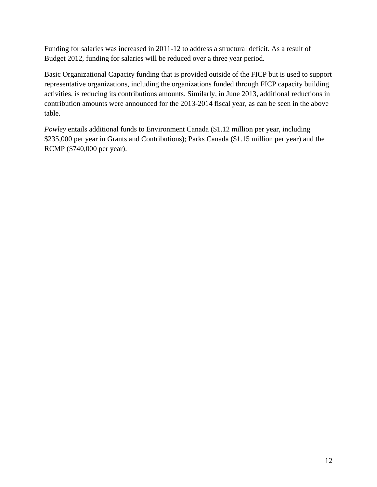Funding for salaries was increased in 2011-12 to address a structural deficit. As a result of Budget 2012, funding for salaries will be reduced over a three year period.

Basic Organizational Capacity funding that is provided outside of the FICP but is used to support representative organizations, including the organizations funded through FICP capacity building activities, is reducing its contributions amounts. Similarly, in June 2013, additional reductions in contribution amounts were announced for the 2013-2014 fiscal year, as can be seen in the above table.

*Powley* entails additional funds to Environment Canada (\$1.12 million per year, including \$235,000 per year in Grants and Contributions); Parks Canada (\$1.15 million per year) and the RCMP (\$740,000 per year).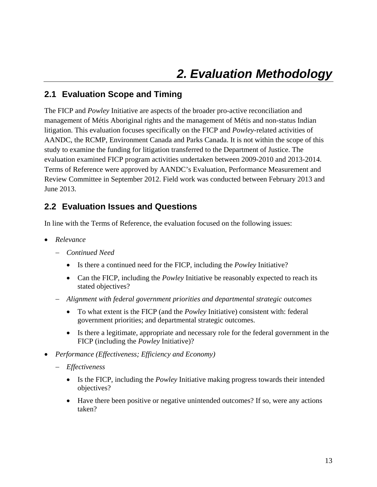### **2.1 Evaluation Scope and Timing**

The FICP and *Powley* Initiative are aspects of the broader pro-active reconciliation and management of Métis Aboriginal rights and the management of Métis and non-status Indian litigation. This evaluation focuses specifically on the FICP and *Powley*-related activities of AANDC, the RCMP, Environment Canada and Parks Canada. It is not within the scope of this study to examine the funding for litigation transferred to the Department of Justice. The evaluation examined FICP program activities undertaken between 2009-2010 and 2013-2014. Terms of Reference were approved by AANDC's Evaluation, Performance Measurement and Review Committee in September 2012. Field work was conducted between February 2013 and June 2013.

#### **2.2 Evaluation Issues and Questions**

In line with the Terms of Reference, the evaluation focused on the following issues:

- *Relevance* 
	- *Continued Need* 
		- Is there a continued need for the FICP, including the *Powley* Initiative?
		- Can the FICP, including the *Powley* Initiative be reasonably expected to reach its stated objectives?
	- *Alignment with federal government priorities and departmental strategic outcomes* 
		- To what extent is the FICP (and the *Powley* Initiative) consistent with: federal government priorities; and departmental strategic outcomes.
		- Is there a legitimate, appropriate and necessary role for the federal government in the FICP (including the *Powley* Initiative)?
- *Performance (Effectiveness; Efficiency and Economy)* 
	- *Effectiveness* 
		- Is the FICP, including the *Powley* Initiative making progress towards their intended objectives?
		- Have there been positive or negative unintended outcomes? If so, were any actions taken?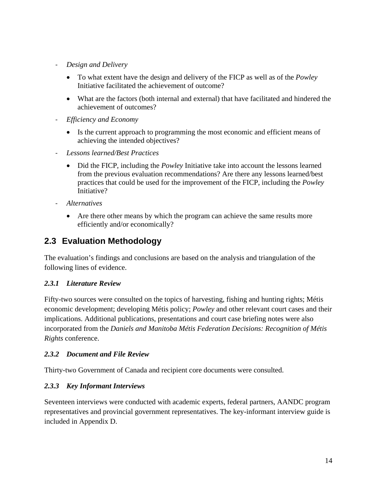- ‐ *Design and Delivery* 
	- To what extent have the design and delivery of the FICP as well as of the *Powley* Initiative facilitated the achievement of outcome?
	- What are the factors (both internal and external) that have facilitated and hindered the achievement of outcomes?
- ‐ *Efficiency and Economy* 
	- Is the current approach to programming the most economic and efficient means of achieving the intended objectives?
- ‐ *Lessons learned/Best Practices* 
	- Did the FICP, including the *Powley* Initiative take into account the lessons learned from the previous evaluation recommendations? Are there any lessons learned/best practices that could be used for the improvement of the FICP, including the *Powley* Initiative?
- ‐ *Alternatives* 
	- Are there other means by which the program can achieve the same results more efficiently and/or economically?

### **2.3 Evaluation Methodology**

The evaluation's findings and conclusions are based on the analysis and triangulation of the following lines of evidence.

#### *2.3.1 Literature Review*

Fifty-two sources were consulted on the topics of harvesting, fishing and hunting rights; Métis economic development; developing Métis policy; *Powley* and other relevant court cases and their implications. Additional publications, presentations and court case briefing notes were also incorporated from the *Daniels and Manitoba Métis Federation Decisions: Recognition of Métis Rights* conference.

#### *2.3.2 Document and File Review*

Thirty-two Government of Canada and recipient core documents were consulted.

#### *2.3.3 Key Informant Interviews*

Seventeen interviews were conducted with academic experts, federal partners, AANDC program representatives and provincial government representatives. The key-informant interview guide is included in Appendix D.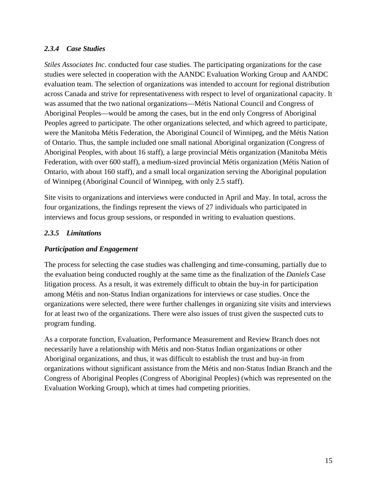#### *2.3.4 Case Studies*

*Stiles Associates Inc*. conducted four case studies. The participating organizations for the case studies were selected in cooperation with the AANDC Evaluation Working Group and AANDC evaluation team. The selection of organizations was intended to account for regional distribution across Canada and strive for representativeness with respect to level of organizational capacity. It was assumed that the two national organizations—Métis National Council and Congress of Aboriginal Peoples—would be among the cases, but in the end only Congress of Aboriginal Peoples agreed to participate. The other organizations selected, and which agreed to participate, were the Manitoba Métis Federation, the Aboriginal Council of Winnipeg, and the Métis Nation of Ontario. Thus, the sample included one small national Aboriginal organization (Congress of Aboriginal Peoples, with about 16 staff), a large provincial Métis organization (Manitoba Métis Federation, with over 600 staff), a medium-sized provincial Métis organization (Métis Nation of Ontario, with about 160 staff), and a small local organization serving the Aboriginal population of Winnipeg (Aboriginal Council of Winnipeg, with only 2.5 staff).

Site visits to organizations and interviews were conducted in April and May. In total, across the four organizations, the findings represent the views of 27 individuals who participated in interviews and focus group sessions, or responded in writing to evaluation questions.

#### *2.3.5 Limitations*

#### *Participation and Engagement*

The process for selecting the case studies was challenging and time-consuming, partially due to the evaluation being conducted roughly at the same time as the finalization of the *Daniels* Case litigation process. As a result, it was extremely difficult to obtain the buy-in for participation among Métis and non-Status Indian organizations for interviews or case studies. Once the organizations were selected, there were further challenges in organizing site visits and interviews for at least two of the organizations. There were also issues of trust given the suspected cuts to program funding.

As a corporate function, Evaluation, Performance Measurement and Review Branch does not necessarily have a relationship with Métis and non-Status Indian organizations or other Aboriginal organizations, and thus, it was difficult to establish the trust and buy-in from organizations without significant assistance from the Métis and non-Status Indian Branch and the Congress of Aboriginal Peoples (Congress of Aboriginal Peoples) (which was represented on the Evaluation Working Group), which at times had competing priorities.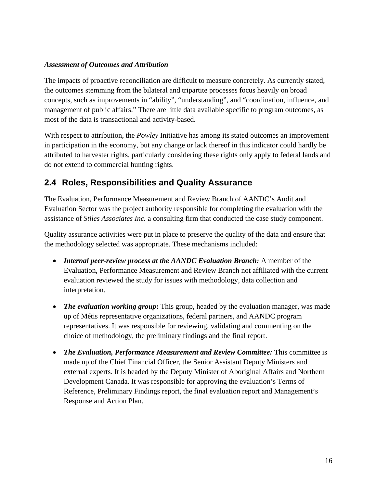#### *Assessment of Outcomes and Attribution*

The impacts of proactive reconciliation are difficult to measure concretely. As currently stated, the outcomes stemming from the bilateral and tripartite processes focus heavily on broad concepts, such as improvements in "ability", "understanding", and "coordination, influence, and management of public affairs." There are little data available specific to program outcomes, as most of the data is transactional and activity-based.

With respect to attribution, the *Powley* Initiative has among its stated outcomes an improvement in participation in the economy, but any change or lack thereof in this indicator could hardly be attributed to harvester rights, particularly considering these rights only apply to federal lands and do not extend to commercial hunting rights.

### **2.4 Roles, Responsibilities and Quality Assurance**

The Evaluation, Performance Measurement and Review Branch of AANDC's Audit and Evaluation Sector was the project authority responsible for completing the evaluation with the assistance of *Stiles Associates Inc.* a consulting firm that conducted the case study component.

Quality assurance activities were put in place to preserve the quality of the data and ensure that the methodology selected was appropriate. These mechanisms included:

- *Internal peer-review process at the AANDC Evaluation Branch:* A member of the Evaluation, Performance Measurement and Review Branch not affiliated with the current evaluation reviewed the study for issues with methodology, data collection and interpretation.
- *The evaluation working group***:** This group, headed by the evaluation manager, was made up of Métis representative organizations, federal partners, and AANDC program representatives. It was responsible for reviewing, validating and commenting on the choice of methodology, the preliminary findings and the final report.
- *The Evaluation, Performance Measurement and Review Committee:* This committee is made up of the Chief Financial Officer, the Senior Assistant Deputy Ministers and external experts. It is headed by the Deputy Minister of Aboriginal Affairs and Northern Development Canada. It was responsible for approving the evaluation's Terms of Reference, Preliminary Findings report, the final evaluation report and Management's Response and Action Plan.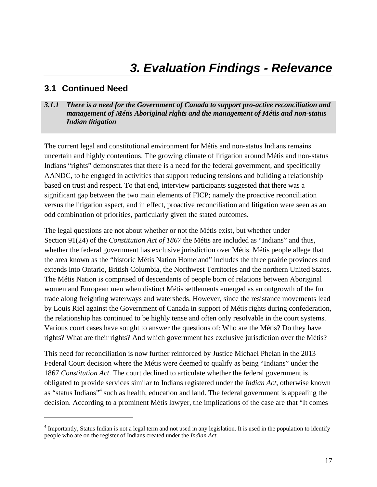## *3. Evaluation Findings - Relevance*

#### **3.1 Continued Need**

#### *3.1.1 There is a need for the Government of Canada to support pro-active reconciliation and management of Métis Aboriginal rights and the management of Métis and non-status Indian litigation*

The current legal and constitutional environment for Métis and non-status Indians remains uncertain and highly contentious. The growing climate of litigation around Métis and non-status Indians "rights" demonstrates that there is a need for the federal government, and specifically AANDC, to be engaged in activities that support reducing tensions and building a relationship based on trust and respect. To that end, interview participants suggested that there was a significant gap between the two main elements of FICP; namely the proactive reconciliation versus the litigation aspect, and in effect, proactive reconciliation and litigation were seen as an odd combination of priorities, particularly given the stated outcomes.

The legal questions are not about whether or not the Métis exist, but whether under Section 91(24) of the *Constitution Act of 1867* the Métis are included as "Indians" and thus, whether the federal government has exclusive jurisdiction over Métis. Métis people allege that the area known as the "historic Métis Nation Homeland" includes the three prairie provinces and extends into Ontario, British Columbia, the Northwest Territories and the northern United States. The Métis Nation is comprised of descendants of people born of relations between Aboriginal women and European men when distinct Métis settlements emerged as an outgrowth of the fur trade along freighting waterways and watersheds. However, since the resistance movements lead by Louis Riel against the Government of Canada in support of Métis rights during confederation, the relationship has continued to be highly tense and often only resolvable in the court systems. Various court cases have sought to answer the questions of: Who are the Métis? Do they have rights? What are their rights? And which government has exclusive jurisdiction over the Métis?

This need for reconciliation is now further reinforced by Justice Michael Phelan in the 2013 Federal Court decision where the Métis were deemed to qualify as being "Indians" under the 1867 *Constitution Act*. The court declined to articulate whether the federal government is obligated to provide services similar to Indians registered under the *Indian Act*, otherwise known as "status Indians"<sup>4</sup> such as health, education and land. The federal government is appealing the decision. According to a prominent Métis lawyer, the implications of the case are that "It comes

<sup>&</sup>lt;sup>4</sup> Importantly, Status Indian is not a legal term and not used in any legislation. It is used in the population to identify people who are on the register of Indians created under the *Indian Act*.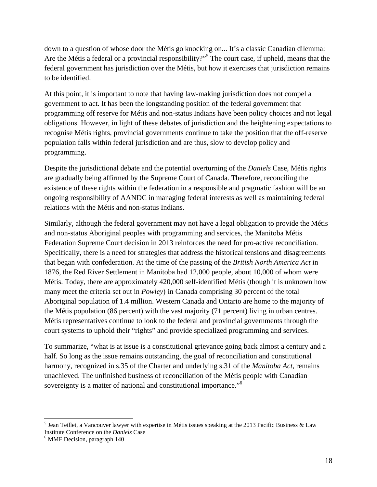down to a question of whose door the Métis go knocking on... It's a classic Canadian dilemma: Are the Métis a federal or a provincial responsibility?"<sup>5</sup> The court case, if upheld, means that the federal government has jurisdiction over the Métis, but how it exercises that jurisdiction remains to be identified.

At this point, it is important to note that having law-making jurisdiction does not compel a government to act. It has been the longstanding position of the federal government that programming off reserve for Métis and non-status Indians have been policy choices and not legal obligations. However, in light of these debates of jurisdiction and the heightening expectations to recognise Métis rights, provincial governments continue to take the position that the off-reserve population falls within federal jurisdiction and are thus, slow to develop policy and programming.

Despite the jurisdictional debate and the potential overturning of the *Daniels* Case, Métis rights are gradually being affirmed by the Supreme Court of Canada. Therefore, reconciling the existence of these rights within the federation in a responsible and pragmatic fashion will be an ongoing responsibility of AANDC in managing federal interests as well as maintaining federal relations with the Métis and non-status Indians.

Similarly, although the federal government may not have a legal obligation to provide the Métis and non-status Aboriginal peoples with programming and services, the Manitoba Métis Federation Supreme Court decision in 2013 reinforces the need for pro-active reconciliation. Specifically, there is a need for strategies that address the historical tensions and disagreements that began with confederation. At the time of the passing of the *British North America Act* in 1876, the Red River Settlement in Manitoba had 12,000 people, about 10,000 of whom were Métis. Today, there are approximately 420,000 self-identified Métis (though it is unknown how many meet the criteria set out in *Powley*) in Canada comprising 30 percent of the total Aboriginal population of 1.4 million. Western Canada and Ontario are home to the majority of the Métis population (86 percent) with the vast majority (71 percent) living in urban centres. Métis representatives continue to look to the federal and provincial governments through the court systems to uphold their "rights" and provide specialized programming and services.

To summarize, "what is at issue is a constitutional grievance going back almost a century and a half. So long as the issue remains outstanding, the goal of reconciliation and constitutional harmony, recognized in s.35 of the Charter and underlying s.31 of the *Manitoba Act*, remains unachieved. The unfinished business of reconciliation of the Métis people with Canadian sovereignty is a matter of national and constitutional importance."<sup>6</sup>

<sup>&</sup>lt;sup>5</sup> Jean Teillet, a Vancouver lawyer with expertise in Métis issues speaking at the 2013 Pacific Business & Law Institute Conference on the *Daniels* Case 6

<sup>&</sup>lt;sup>6</sup> MMF Decision, paragraph 140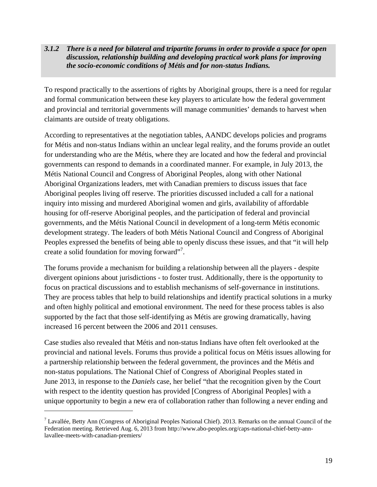#### *3.1.2 There is a need for bilateral and tripartite forums in order to provide a space for open discussion, relationship building and developing practical work plans for improving the socio-economic conditions of Métis and for non-status Indians.*

To respond practically to the assertions of rights by Aboriginal groups, there is a need for regular and formal communication between these key players to articulate how the federal government and provincial and territorial governments will manage communities' demands to harvest when claimants are outside of treaty obligations.

According to representatives at the negotiation tables, AANDC develops policies and programs for Métis and non-status Indians within an unclear legal reality, and the forums provide an outlet for understanding who are the Métis, where they are located and how the federal and provincial governments can respond to demands in a coordinated manner. For example, in July 2013, the Métis National Council and Congress of Aboriginal Peoples, along with other National Aboriginal Organizations leaders, met with Canadian premiers to discuss issues that face Aboriginal peoples living off reserve. The priorities discussed included a call for a national inquiry into missing and murdered Aboriginal women and girls, availability of affordable housing for off-reserve Aboriginal peoples, and the participation of federal and provincial governments, and the Métis National Council in development of a long-term Métis economic development strategy. The leaders of both Métis National Council and Congress of Aboriginal Peoples expressed the benefits of being able to openly discuss these issues, and that "it will help create a solid foundation for moving forward"<sup>7</sup>.

The forums provide a mechanism for building a relationship between all the players - despite divergent opinions about jurisdictions - to foster trust. Additionally, there is the opportunity to focus on practical discussions and to establish mechanisms of self-governance in institutions. They are process tables that help to build relationships and identify practical solutions in a murky and often highly political and emotional environment. The need for these process tables is also supported by the fact that those self-identifying as Métis are growing dramatically, having increased 16 percent between the 2006 and 2011 censuses.

Case studies also revealed that Métis and non-status Indians have often felt overlooked at the provincial and national levels. Forums thus provide a political focus on Métis issues allowing for a partnership relationship between the federal government, the provinces and the Métis and non-status populations. The National Chief of Congress of Aboriginal Peoples stated in June 2013, in response to the *Daniels* case, her belief "that the recognition given by the Court with respect to the identity question has provided [Congress of Aboriginal Peoples] with a unique opportunity to begin a new era of collaboration rather than following a never ending and

<sup>&</sup>lt;sup>7</sup> Lavallée, Betty Ann (Congress of Aboriginal Peoples National Chief). 2013. Remarks on the annual Council of the Federation meeting. Retrieved Aug. 6, 2013 from http://www.abo-peoples.org/caps-national-chief-betty-annlavallee-meets-with-canadian-premiers/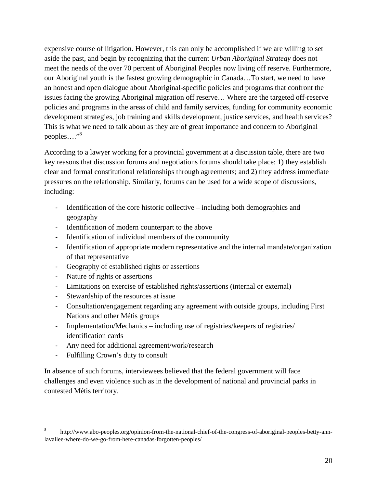expensive course of litigation. However, this can only be accomplished if we are willing to set aside the past, and begin by recognizing that the current *Urban Aboriginal Strategy* does not meet the needs of the over 70 percent of Aboriginal Peoples now living off reserve. Furthermore, our Aboriginal youth is the fastest growing demographic in Canada…To start, we need to have an honest and open dialogue about Aboriginal-specific policies and programs that confront the issues facing the growing Aboriginal migration off reserve… Where are the targeted off-reserve policies and programs in the areas of child and family services, funding for community economic development strategies, job training and skills development, justice services, and health services? This is what we need to talk about as they are of great importance and concern to Aboriginal peoples…."<sup>8</sup>

According to a lawyer working for a provincial government at a discussion table, there are two key reasons that discussion forums and negotiations forums should take place: 1) they establish clear and formal constitutional relationships through agreements; and 2) they address immediate pressures on the relationship. Similarly, forums can be used for a wide scope of discussions, including:

- ‐ Identification of the core historic collective including both demographics and geography
- Identification of modern counterpart to the above
- ‐ Identification of individual members of the community
- ‐ Identification of appropriate modern representative and the internal mandate/organization of that representative
- ‐ Geography of established rights or assertions
- ‐ Nature of rights or assertions
- ‐ Limitations on exercise of established rights/assertions (internal or external)
- ‐ Stewardship of the resources at issue
- ‐ Consultation/engagement regarding any agreement with outside groups, including First Nations and other Métis groups
- ‐ Implementation/Mechanics including use of registries/keepers of registries/ identification cards
- ‐ Any need for additional agreement/work/research
- ‐ Fulfilling Crown's duty to consult

In absence of such forums, interviewees believed that the federal government will face challenges and even violence such as in the development of national and provincial parks in contested Métis territory.

<sup>8</sup> http://www.abo-peoples.org/opinion-from-the-national-chief-of-the-congress-of-aboriginal-peoples-betty-annlavallee-where-do-we-go-from-here-canadas-forgotten-peoples/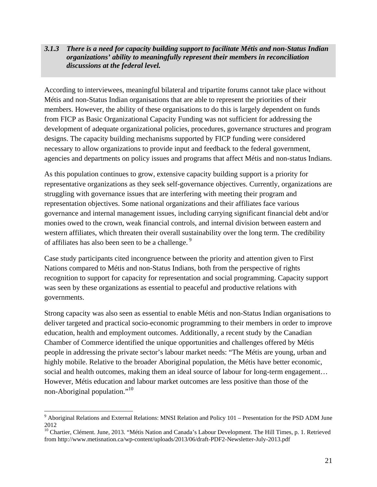#### *3.1.3 There is a need for capacity building support to facilitate Métis and non-Status Indian organizations' ability to meaningfully represent their members in reconciliation discussions at the federal level.*

According to interviewees, meaningful bilateral and tripartite forums cannot take place without Métis and non-Status Indian organisations that are able to represent the priorities of their members. However, the ability of these organisations to do this is largely dependent on funds from FICP as Basic Organizational Capacity Funding was not sufficient for addressing the development of adequate organizational policies, procedures, governance structures and program designs. The capacity building mechanisms supported by FICP funding were considered necessary to allow organizations to provide input and feedback to the federal government, agencies and departments on policy issues and programs that affect Métis and non-status Indians.

As this population continues to grow, extensive capacity building support is a priority for representative organizations as they seek self-governance objectives. Currently, organizations are struggling with governance issues that are interfering with meeting their program and representation objectives. Some national organizations and their affiliates face various governance and internal management issues, including carrying significant financial debt and/or monies owed to the crown, weak financial controls, and internal division between eastern and western affiliates, which threaten their overall sustainability over the long term. The credibility of affiliates has also been seen to be a challenge.<sup>9</sup>

Case study participants cited incongruence between the priority and attention given to First Nations compared to Métis and non-Status Indians, both from the perspective of rights recognition to support for capacity for representation and social programming. Capacity support was seen by these organizations as essential to peaceful and productive relations with governments.

Strong capacity was also seen as essential to enable Métis and non-Status Indian organisations to deliver targeted and practical socio-economic programming to their members in order to improve education, health and employment outcomes. Additionally, a recent study by the Canadian Chamber of Commerce identified the unique opportunities and challenges offered by Métis people in addressing the private sector's labour market needs: "The Métis are young, urban and highly mobile. Relative to the broader Aboriginal population, the Métis have better economic, social and health outcomes, making them an ideal source of labour for long-term engagement... However, Métis education and labour market outcomes are less positive than those of the non-Aboriginal population."<sup>10</sup>

<sup>&</sup>lt;sup>9</sup> Aboriginal Relations and External Relations: MNSI Relation and Policy 101 – Presentation for the PSD ADM June 2012

<sup>&</sup>lt;sup>10</sup> Chartier, Clément. June, 2013. "Métis Nation and Canada's Labour Development. The Hill Times, p. 1. Retrieved from http://www.metisnation.ca/wp-content/uploads/2013/06/draft-PDF2-Newsletter-July-2013.pdf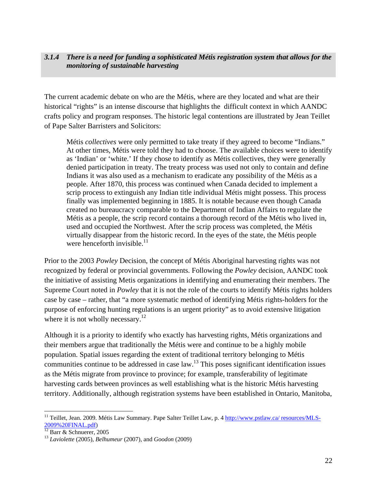#### *3.1.4 There is a need for funding a sophisticated Métis registration system that allows for the monitoring of sustainable harvesting*

The current academic debate on who are the Métis, where are they located and what are their historical "rights" is an intense discourse that highlights the difficult context in which AANDC crafts policy and program responses. The historic legal contentions are illustrated by Jean Teillet of Pape Salter Barristers and Solicitors:

Métis *collectives* were only permitted to take treaty if they agreed to become "Indians." At other times, Métis were told they had to choose. The available choices were to identify as 'Indian' or 'white.' If they chose to identify as Métis collectives, they were generally denied participation in treaty. The treaty process was used not only to contain and define Indians it was also used as a mechanism to eradicate any possibility of the Métis as a people. After 1870, this process was continued when Canada decided to implement a scrip process to extinguish any Indian title individual Métis might possess. This process finally was implemented beginning in 1885. It is notable because even though Canada created no bureaucracy comparable to the Department of Indian Affairs to regulate the Métis as a people, the scrip record contains a thorough record of the Métis who lived in, used and occupied the Northwest. After the scrip process was completed, the Métis virtually disappear from the historic record. In the eyes of the state, the Métis people were henceforth invisible. $^{11}$ 

Prior to the 2003 *Powley* Decision, the concept of Métis Aboriginal harvesting rights was not recognized by federal or provincial governments. Following the *Powley* decision, AANDC took the initiative of assisting Metis organizations in identifying and enumerating their members. The Supreme Court noted in *Powley* that it is not the role of the courts to identify Métis rights holders case by case – rather, that "a more systematic method of identifying Métis rights-holders for the purpose of enforcing hunting regulations is an urgent priority" as to avoid extensive litigation where it is not wholly necessary.<sup>12</sup>

Although it is a priority to identify who exactly has harvesting rights, Métis organizations and their members argue that traditionally the Métis were and continue to be a highly mobile population. Spatial issues regarding the extent of traditional territory belonging to Métis communities continue to be addressed in case law.13 This poses significant identification issues as the Métis migrate from province to province; for example, transferability of legitimate harvesting cards between provinces as well establishing what is the historic Métis harvesting territory. Additionally, although registration systems have been established in Ontario, Manitoba,

<sup>&</sup>lt;sup>11</sup> Teillet, Jean. 2009. Métis Law Summary. Pape Salter Teillet Law, p. 4 http://www.pstlaw.ca/ resources/MLS-2009%20FINAL.pdf)

 $\frac{2009}{12}$  Barr & Schnuerer, 2005

<sup>13</sup> *Laviolette* (2005), *Belhumeur* (2007), and *Goodon* (2009)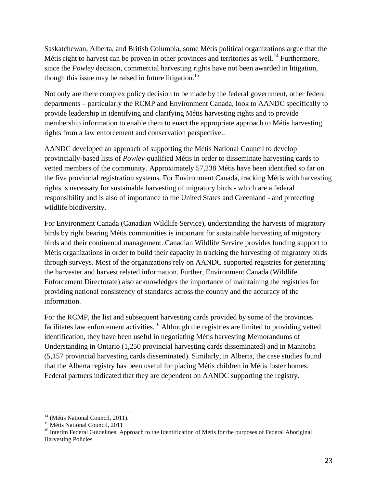Saskatchewan, Alberta, and British Columbia, some Métis political organizations argue that the Métis right to harvest can be proven in other provinces and territories as well.<sup>14</sup> Furthermore, since the *Powley* decision, commercial harvesting rights have not been awarded in litigation, though this issue may be raised in future litigation.<sup>15</sup>

Not only are there complex policy decision to be made by the federal government, other federal departments – particularly the RCMP and Environment Canada, look to AANDC specifically to provide leadership in identifying and clarifying Métis harvesting rights and to provide membership information to enable them to enact the appropriate approach to Métis harvesting rights from a law enforcement and conservation perspective..

AANDC developed an approach of supporting the Métis National Council to develop provincially-based lists of *Powley*-qualified Métis in order to disseminate harvesting cards to vetted members of the community. Approximately 57,238 Métis have been identified so far on the five provincial registration systems. For Environment Canada, tracking Métis with harvesting rights is necessary for sustainable harvesting of migratory birds - which are a federal responsibility and is also of importance to the United States and Greenland - and protecting wildlife biodiversity.

For Environment Canada (Canadian Wildlife Service), understanding the harvests of migratory birds by right bearing Métis communities is important for sustainable harvesting of migratory birds and their continental management. Canadian Wildlife Service provides funding support to Métis organizations in order to build their capacity in tracking the harvesting of migratory birds through surveys. Most of the organizations rely on AANDC supported registries for generating the harvester and harvest related information. Further, Environment Canada (Wildlife Enforcement Directorate) also acknowledges the importance of maintaining the registries for providing national consistency of standards across the country and the accuracy of the information.

For the RCMP, the list and subsequent harvesting cards provided by some of the provinces facilitates law enforcement activities.<sup>16</sup> Although the registries are limited to providing vetted identification, they have been useful in negotiating Métis harvesting Memorandums of Understanding in Ontario (1,250 provincial harvesting cards disseminated) and in Manitoba (5,157 provincial harvesting cards disseminated). Similarly, in Alberta, the case studies found that the Alberta registry has been useful for placing Métis children in Métis foster homes. Federal partners indicated that they are dependent on AANDC supporting the registry.

 <sup>14</sup> (Métis National Council, 2011).

<sup>&</sup>lt;sup>15</sup> Métis National Council, 2011

<sup>&</sup>lt;sup>16</sup> Interim Federal Guidelines: Approach to the Identification of Métis for the purposes of Federal Aboriginal Harvesting Policies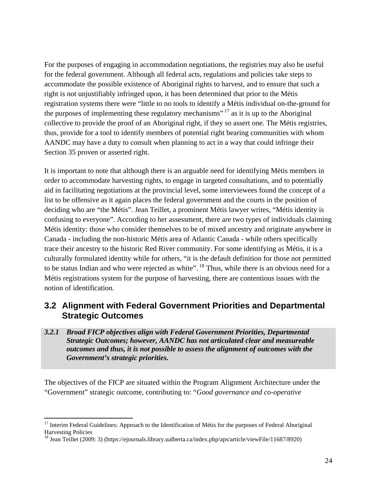For the purposes of engaging in accommodation negotiations, the registries may also be useful for the federal government. Although all federal acts, regulations and policies take steps to accommodate the possible existence of Aboriginal rights to harvest, and to ensure that such a right is not unjustifiably infringed upon, it has been determined that prior to the Métis registration systems there were "little to no tools to identify a Métis individual on-the-ground for the purposes of implementing these regulatory mechanisms"<sup>17</sup> as it is up to the Aboriginal collective to provide the proof of an Aboriginal right, if they so assert one. The Métis registries, thus, provide for a tool to identify members of potential right bearing communities with whom AANDC may have a duty to consult when planning to act in a way that could infringe their Section 35 proven or asserted right.

It is important to note that although there is an arguable need for identifying Métis members in order to accommodate harvesting rights, to engage in targeted consultations, and to potentially aid in facilitating negotiations at the provincial level, some interviewees found the concept of a list to be offensive as it again places the federal government and the courts in the position of deciding who are "the Métis". Jean Teillet, a prominent Métis lawyer writes, "Métis identity is confusing to everyone". According to her assessment, there are two types of individuals claiming Métis identity: those who consider themselves to be of mixed ancestry and originate anywhere in Canada - including the non-historic Métis area of Atlantic Canada - while others specifically trace their ancestry to the historic Red River community. For some identifying as Métis, it is a culturally formulated identity while for others, "it is the default definition for those not permitted to be status Indian and who were rejected as white". <sup>18</sup> Thus, while there is an obvious need for a Métis registrations system for the purpose of harvesting, there are contentious issues with the notion of identification.

### **3.2 Alignment with Federal Government Priorities and Departmental Strategic Outcomes**

*3.2.1 Broad FICP objectives align with Federal Government Priorities, Departmental Strategic Outcomes; however, AANDC has not articulated clear and measureable outcomes and thus, it is not possible to assess the alignment of outcomes with the Government's strategic priorities.* 

The objectives of the FICP are situated within the Program Alignment Architecture under the "Government" strategic outcome, contributing to: "*Good governance and co-operative* 

<sup>&</sup>lt;sup>17</sup> Interim Federal Guidelines: Approach to the Identification of Métis for the purposes of Federal Aboriginal Harvesting Policies

<sup>&</sup>lt;sup>18</sup> Jean Teillet (2009: 3) (https://ejournals.library.ualberta.ca/index.php/aps/article/viewFile/11687/8920)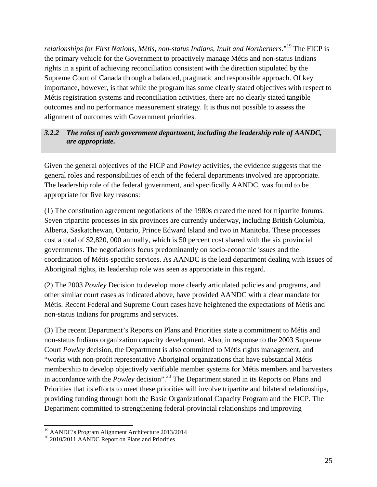*relationships for First Nations, Métis, non-status Indians, Inuit and Northerners.*"<sup>19</sup> The FICP is the primary vehicle for the Government to proactively manage Métis and non-status Indians rights in a spirit of achieving reconciliation consistent with the direction stipulated by the Supreme Court of Canada through a balanced, pragmatic and responsible approach. Of key importance, however, is that while the program has some clearly stated objectives with respect to Métis registration systems and reconciliation activities, there are no clearly stated tangible outcomes and no performance measurement strategy. It is thus not possible to assess the alignment of outcomes with Government priorities.

#### *3.2.2 The roles of each government department, including the leadership role of AANDC, are appropriate.*

Given the general objectives of the FICP and *Powley* activities, the evidence suggests that the general roles and responsibilities of each of the federal departments involved are appropriate. The leadership role of the federal government, and specifically AANDC, was found to be appropriate for five key reasons:

(1) The constitution agreement negotiations of the 1980s created the need for tripartite forums. Seven tripartite processes in six provinces are currently underway, including British Columbia, Alberta, Saskatchewan, Ontario, Prince Edward Island and two in Manitoba. These processes cost a total of \$2,820, 000 annually, which is 50 percent cost shared with the six provincial governments. The negotiations focus predominantly on socio-economic issues and the coordination of Métis-specific services. As AANDC is the lead department dealing with issues of Aboriginal rights, its leadership role was seen as appropriate in this regard.

(2) The 2003 *Powley* Decision to develop more clearly articulated policies and programs, and other similar court cases as indicated above, have provided AANDC with a clear mandate for Métis. Recent Federal and Supreme Court cases have heightened the expectations of Métis and non-status Indians for programs and services.

(3) The recent Department's Reports on Plans and Priorities state a commitment to Métis and non-status Indians organization capacity development. Also, in response to the 2003 Supreme Court *Powley* decision, the Department is also committed to Métis rights management, and "works with non-profit representative Aboriginal organizations that have substantial Métis membership to develop objectively verifiable member systems for Métis members and harvesters in accordance with the *Powley* decision". <sup>20</sup> The Department stated in its Reports on Plans and Priorities that its efforts to meet these priorities will involve tripartite and bilateral relationships, providing funding through both the Basic Organizational Capacity Program and the FICP. The Department committed to strengthening federal-provincial relationships and improving

<sup>&</sup>lt;sup>19</sup> AANDC's Program Alignment Architecture 2013/2014

<sup>&</sup>lt;sup>20</sup> 2010/2011 AANDC Report on Plans and Priorities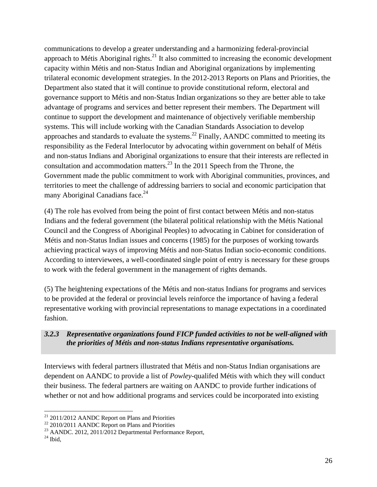communications to develop a greater understanding and a harmonizing federal-provincial approach to Métis Aboriginal rights.<sup>21</sup> It also committed to increasing the economic development capacity within Métis and non-Status Indian and Aboriginal organizations by implementing trilateral economic development strategies. In the 2012-2013 Reports on Plans and Priorities, the Department also stated that it will continue to provide constitutional reform, electoral and governance support to Métis and non-Status Indian organizations so they are better able to take advantage of programs and services and better represent their members. The Department will continue to support the development and maintenance of objectively verifiable membership systems. This will include working with the Canadian Standards Association to develop approaches and standards to evaluate the systems.<sup>22</sup> Finally, AANDC committed to meeting its responsibility as the Federal Interlocutor by advocating within government on behalf of Métis and non-status Indians and Aboriginal organizations to ensure that their interests are reflected in consultation and accommodation matters.<sup>23</sup> In the 2011 Speech from the Throne, the Government made the public commitment to work with Aboriginal communities, provinces, and territories to meet the challenge of addressing barriers to social and economic participation that many Aboriginal Canadians face.<sup>24</sup>

(4) The role has evolved from being the point of first contact between Métis and non-status Indians and the federal government (the bilateral political relationship with the Métis National Council and the Congress of Aboriginal Peoples) to advocating in Cabinet for consideration of Métis and non-Status Indian issues and concerns (1985) for the purposes of working towards achieving practical ways of improving Métis and non-Status Indian socio-economic conditions. According to interviewees, a well-coordinated single point of entry is necessary for these groups to work with the federal government in the management of rights demands.

(5) The heightening expectations of the Métis and non-status Indians for programs and services to be provided at the federal or provincial levels reinforce the importance of having a federal representative working with provincial representations to manage expectations in a coordinated fashion.

#### *3.2.3 Representative organizations found FICP funded activities to not be well-aligned with the priorities of Métis and non-status Indians representative organisations.*

Interviews with federal partners illustrated that Métis and non-Status Indian organisations are dependent on AANDC to provide a list of *Powley*-qualifed Métis with which they will conduct their business. The federal partners are waiting on AANDC to provide further indications of whether or not and how additional programs and services could be incorporated into existing

 $21$  2011/2012 AANDC Report on Plans and Priorities

 $22$  2010/2011 AANDC Report on Plans and Priorities

<sup>&</sup>lt;sup>23</sup> AANDC. 2012, 2011/2012 Departmental Performance Report,

 $24$  Ibid,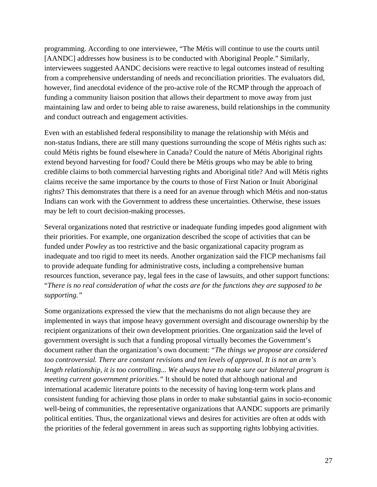programming. According to one interviewee, "The Métis will continue to use the courts until [AANDC] addresses how business is to be conducted with Aboriginal People." Similarly, interviewees suggested AANDC decisions were reactive to legal outcomes instead of resulting from a comprehensive understanding of needs and reconciliation priorities. The evaluators did, however, find anecdotal evidence of the pro-active role of the RCMP through the approach of funding a community liaison position that allows their department to move away from just maintaining law and order to being able to raise awareness, build relationships in the community and conduct outreach and engagement activities.

Even with an established federal responsibility to manage the relationship with Métis and non-status Indians, there are still many questions surrounding the scope of Métis rights such as: could Métis rights be found elsewhere in Canada? Could the nature of Métis Aboriginal rights extend beyond harvesting for food? Could there be Métis groups who may be able to bring credible claims to both commercial harvesting rights and Aboriginal title? And will Métis rights claims receive the same importance by the courts to those of First Nation or Inuit Aboriginal rights? This demonstrates that there is a need for an avenue through which Métis and non-status Indians can work with the Government to address these uncertainties. Otherwise, these issues may be left to court decision-making processes.

Several organizations noted that restrictive or inadequate funding impedes good alignment with their priorities. For example, one organization described the scope of activities that can be funded under *Powley* as too restrictive and the basic organizational capacity program as inadequate and too rigid to meet its needs. Another organization said the FICP mechanisms fail to provide adequate funding for administrative costs, including a comprehensive human resources function, severance pay, legal fees in the case of lawsuits, and other support functions: "*There is no real consideration of what the costs are for the functions they are supposed to be supporting."*

Some organizations expressed the view that the mechanisms do not align because they are implemented in ways that impose heavy government oversight and discourage ownership by the recipient organizations of their own development priorities. One organization said the level of government oversight is such that a funding proposal virtually becomes the Government's document rather than the organization's own document: "*The things we propose are considered too controversial. There are constant revisions and ten levels of approval. It is not an arm's length relationship, it is too controlling... We always have to make sure our bilateral program is meeting current government priorities."* It should be noted that although national and international academic literature points to the necessity of having long-term work plans and consistent funding for achieving those plans in order to make substantial gains in socio-economic well-being of communities, the representative organizations that AANDC supports are primarily political entities. Thus, the organizational views and desires for activities are often at odds with the priorities of the federal government in areas such as supporting rights lobbying activities.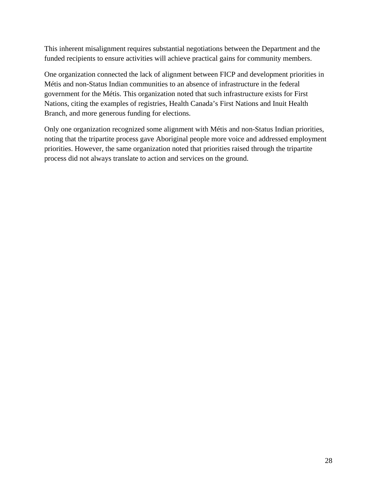This inherent misalignment requires substantial negotiations between the Department and the funded recipients to ensure activities will achieve practical gains for community members.

One organization connected the lack of alignment between FICP and development priorities in Métis and non-Status Indian communities to an absence of infrastructure in the federal government for the Métis. This organization noted that such infrastructure exists for First Nations, citing the examples of registries, Health Canada's First Nations and Inuit Health Branch, and more generous funding for elections.

Only one organization recognized some alignment with Métis and non-Status Indian priorities, noting that the tripartite process gave Aboriginal people more voice and addressed employment priorities. However, the same organization noted that priorities raised through the tripartite process did not always translate to action and services on the ground.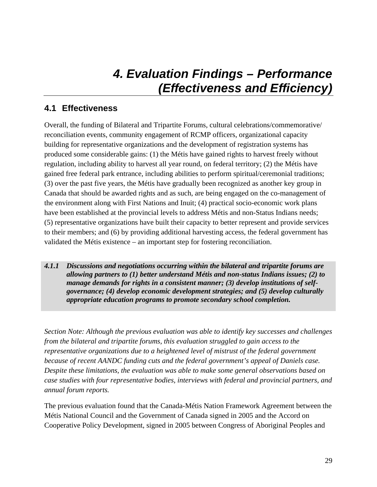## *4. Evaluation Findings – Performance (Effectiveness and Efficiency)*

## **4.1 Effectiveness**

Overall, the funding of Bilateral and Tripartite Forums, cultural celebrations/commemorative/ reconciliation events, community engagement of RCMP officers, organizational capacity building for representative organizations and the development of registration systems has produced some considerable gains: (1) the Métis have gained rights to harvest freely without regulation, including ability to harvest all year round, on federal territory; (2) the Métis have gained free federal park entrance, including abilities to perform spiritual/ceremonial traditions; (3) over the past five years, the Métis have gradually been recognized as another key group in Canada that should be awarded rights and as such, are being engaged on the co-management of the environment along with First Nations and Inuit; (4) practical socio-economic work plans have been established at the provincial levels to address Métis and non-Status Indians needs; (5) representative organizations have built their capacity to better represent and provide services to their members; and (6) by providing additional harvesting access, the federal government has validated the Métis existence – an important step for fostering reconciliation.

*4.1.1 Discussions and negotiations occurring within the bilateral and tripartite forums are allowing partners to (1) better understand Métis and non-status Indians issues; (2) to manage demands for rights in a consistent manner; (3) develop institutions of selfgovernance; (4) develop economic development strategies; and (5) develop culturally appropriate education programs to promote secondary school completion.* 

*Section Note: Although the previous evaluation was able to identify key successes and challenges from the bilateral and tripartite forums, this evaluation struggled to gain access to the representative organizations due to a heightened level of mistrust of the federal government because of recent AANDC funding cuts and the federal government's appeal of Daniels case. Despite these limitations, the evaluation was able to make some general observations based on case studies with four representative bodies, interviews with federal and provincial partners, and annual forum reports.* 

The previous evaluation found that the Canada-Métis Nation Framework Agreement between the Métis National Council and the Government of Canada signed in 2005 and the Accord on Cooperative Policy Development, signed in 2005 between Congress of Aboriginal Peoples and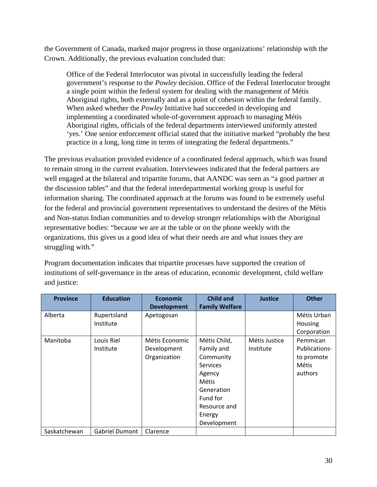the Government of Canada, marked major progress in those organizations' relationship with the Crown. Additionally, the previous evaluation concluded that:

Office of the Federal Interlocutor was pivotal in successfully leading the federal government's response to the *Powley* decision. Office of the Federal Interlocutor brought a single point within the federal system for dealing with the management of Métis Aboriginal rights, both externally and as a point of cohesion within the federal family. When asked whether the *Powley* Initiative had succeeded in developing and implementing a coordinated whole-of-government approach to managing Métis Aboriginal rights, officials of the federal departments interviewed uniformly attested 'yes.' One senior enforcement official stated that the initiative marked "probably the best practice in a long, long time in terms of integrating the federal departments."

The previous evaluation provided evidence of a coordinated federal approach, which was found to remain strong in the current evaluation. Interviewees indicated that the federal partners are well engaged at the bilateral and tripartite forums, that AANDC was seen as "a good partner at the discussion tables" and that the federal interdepartmental working group is useful for information sharing. The coordinated approach at the forums was found to be extremely useful for the federal and provincial government representatives to understand the desires of the Métis and Non-status Indian communities and to develop stronger relationships with the Aboriginal representative bodies: "because we are at the table or on the phone weekly with the organizations, this gives us a good idea of what their needs are and what issues they are struggling with."

Program documentation indicates that tripartite processes have supported the creation of institutions of self-governance in the areas of education, economic development, child welfare and justice:

| <b>Province</b> | <b>Education</b> | <b>Economic</b>    | <b>Child and</b>      | <b>Justice</b> | <b>Other</b>   |
|-----------------|------------------|--------------------|-----------------------|----------------|----------------|
|                 |                  | <b>Development</b> | <b>Family Welfare</b> |                |                |
| Alberta         | Rupertsland      | Apetogosan         |                       |                | Métis Urban    |
|                 | Institute        |                    |                       |                | <b>Housing</b> |
|                 |                  |                    |                       |                | Corporation    |
| Manitoba        | Louis Riel       | Métis Economic     | Métis Child,          | Métis Justice  | Pemmican       |
|                 | Institute        | Development        | Family and            | Institute      | Publications-  |
|                 |                  | Organization       | Community             |                | to promote     |
|                 |                  |                    | <b>Services</b>       |                | Métis          |
|                 |                  |                    | Agency                |                | authors        |
|                 |                  |                    | Métis                 |                |                |
|                 |                  |                    | Generation            |                |                |
|                 |                  |                    | Fund for              |                |                |
|                 |                  |                    | Resource and          |                |                |
|                 |                  |                    | Energy                |                |                |
|                 |                  |                    | Development           |                |                |
| Saskatchewan    | Gabriel Dumont   | Clarence           |                       |                |                |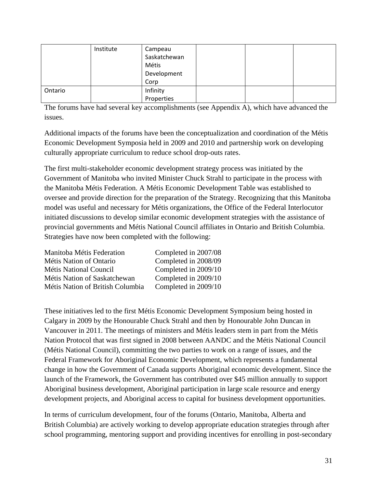|         | Institute | Campeau      |  |  |
|---------|-----------|--------------|--|--|
|         |           | Saskatchewan |  |  |
|         |           | Métis        |  |  |
|         |           | Development  |  |  |
|         |           | Corp         |  |  |
| Ontario |           | Infinity     |  |  |
|         |           | Properties   |  |  |

The forums have had several key accomplishments (see Appendix A), which have advanced the issues.

Additional impacts of the forums have been the conceptualization and coordination of the Métis Economic Development Symposia held in 2009 and 2010 and partnership work on developing culturally appropriate curriculum to reduce school drop-outs rates.

The first multi-stakeholder economic development strategy process was initiated by the Government of Manitoba who invited Minister Chuck Strahl to participate in the process with the Manitoba Métis Federation. A Métis Economic Development Table was established to oversee and provide direction for the preparation of the Strategy. Recognizing that this Manitoba model was useful and necessary for Métis organizations, the Office of the Federal Interlocutor initiated discussions to develop similar economic development strategies with the assistance of provincial governments and Métis National Council affiliates in Ontario and British Columbia. Strategies have now been completed with the following:

| Manitoba Métis Federation        | Completed in 2007/08 |
|----------------------------------|----------------------|
| Métis Nation of Ontario          | Completed in 2008/09 |
| <b>Métis National Council</b>    | Completed in 2009/10 |
| Métis Nation of Saskatchewan     | Completed in 2009/10 |
| Métis Nation of British Columbia | Completed in 2009/10 |

These initiatives led to the first Métis Economic Development Symposium being hosted in Calgary in 2009 by the Honourable Chuck Strahl and then by Honourable John Duncan in Vancouver in 2011. The meetings of ministers and Métis leaders stem in part from the Métis Nation Protocol that was first signed in 2008 between AANDC and the Métis National Council (Métis National Council), committing the two parties to work on a range of issues, and the Federal Framework for Aboriginal Economic Development, which represents a fundamental change in how the Government of Canada supports Aboriginal economic development. Since the launch of the Framework, the Government has contributed over \$45 million annually to support Aboriginal business development, Aboriginal participation in large scale resource and energy development projects, and Aboriginal access to capital for business development opportunities.

In terms of curriculum development, four of the forums (Ontario, Manitoba, Alberta and British Columbia) are actively working to develop appropriate education strategies through after school programming, mentoring support and providing incentives for enrolling in post-secondary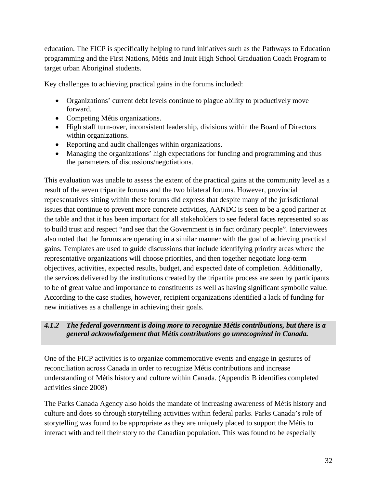education. The FICP is specifically helping to fund initiatives such as the Pathways to Education programming and the First Nations, Métis and Inuit High School Graduation Coach Program to target urban Aboriginal students.

Key challenges to achieving practical gains in the forums included:

- Organizations' current debt levels continue to plague ability to productively move forward.
- Competing Métis organizations.
- High staff turn-over, inconsistent leadership, divisions within the Board of Directors within organizations.
- Reporting and audit challenges within organizations.
- Managing the organizations' high expectations for funding and programming and thus the parameters of discussions/negotiations.

This evaluation was unable to assess the extent of the practical gains at the community level as a result of the seven tripartite forums and the two bilateral forums. However, provincial representatives sitting within these forums did express that despite many of the jurisdictional issues that continue to prevent more concrete activities, AANDC is seen to be a good partner at the table and that it has been important for all stakeholders to see federal faces represented so as to build trust and respect "and see that the Government is in fact ordinary people". Interviewees also noted that the forums are operating in a similar manner with the goal of achieving practical gains. Templates are used to guide discussions that include identifying priority areas where the representative organizations will choose priorities, and then together negotiate long-term objectives, activities, expected results, budget, and expected date of completion. Additionally, the services delivered by the institutions created by the tripartite process are seen by participants to be of great value and importance to constituents as well as having significant symbolic value. According to the case studies, however, recipient organizations identified a lack of funding for new initiatives as a challenge in achieving their goals.

### *4.1.2 The federal government is doing more to recognize Métis contributions, but there is a general acknowledgement that Métis contributions go unrecognized in Canada.*

One of the FICP activities is to organize commemorative events and engage in gestures of reconciliation across Canada in order to recognize Métis contributions and increase understanding of Métis history and culture within Canada. (Appendix B identifies completed activities since 2008)

The Parks Canada Agency also holds the mandate of increasing awareness of Métis history and culture and does so through storytelling activities within federal parks. Parks Canada's role of storytelling was found to be appropriate as they are uniquely placed to support the Métis to interact with and tell their story to the Canadian population. This was found to be especially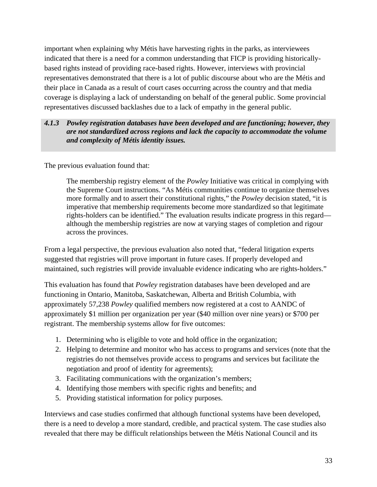important when explaining why Métis have harvesting rights in the parks, as interviewees indicated that there is a need for a common understanding that FICP is providing historicallybased rights instead of providing race-based rights. However, interviews with provincial representatives demonstrated that there is a lot of public discourse about who are the Métis and their place in Canada as a result of court cases occurring across the country and that media coverage is displaying a lack of understanding on behalf of the general public. Some provincial representatives discussed backlashes due to a lack of empathy in the general public.

### *4.1.3 Powley registration databases have been developed and are functioning; however, they are not standardized across regions and lack the capacity to accommodate the volume and complexity of Métis identity issues.*

The previous evaluation found that:

The membership registry element of the *Powley* Initiative was critical in complying with the Supreme Court instructions. "As Métis communities continue to organize themselves more formally and to assert their constitutional rights," the *Powley* decision stated, "it is imperative that membership requirements become more standardized so that legitimate rights-holders can be identified." The evaluation results indicate progress in this regard although the membership registries are now at varying stages of completion and rigour across the provinces.

From a legal perspective, the previous evaluation also noted that, "federal litigation experts suggested that registries will prove important in future cases. If properly developed and maintained, such registries will provide invaluable evidence indicating who are rights-holders."

This evaluation has found that *Powley* registration databases have been developed and are functioning in Ontario, Manitoba, Saskatchewan, Alberta and British Columbia, with approximately 57,238 *Powley* qualified members now registered at a cost to AANDC of approximately \$1 million per organization per year (\$40 million over nine years) or \$700 per registrant. The membership systems allow for five outcomes:

- 1. Determining who is eligible to vote and hold office in the organization;
- 2. Helping to determine and monitor who has access to programs and services (note that the registries do not themselves provide access to programs and services but facilitate the negotiation and proof of identity for agreements);
- 3. Facilitating communications with the organization's members;
- 4. Identifying those members with specific rights and benefits; and
- 5. Providing statistical information for policy purposes.

Interviews and case studies confirmed that although functional systems have been developed, there is a need to develop a more standard, credible, and practical system. The case studies also revealed that there may be difficult relationships between the Métis National Council and its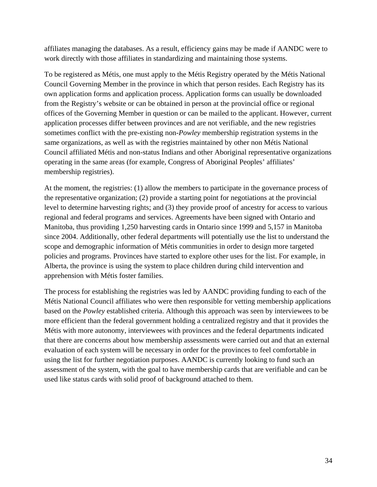affiliates managing the databases. As a result, efficiency gains may be made if AANDC were to work directly with those affiliates in standardizing and maintaining those systems.

To be registered as Métis, one must apply to the Métis Registry operated by the Métis National Council Governing Member in the province in which that person resides. Each Registry has its own application forms and application process. Application forms can usually be downloaded from the Registry's website or can be obtained in person at the provincial office or regional offices of the Governing Member in question or can be mailed to the applicant. However, current application processes differ between provinces and are not verifiable, and the new registries sometimes conflict with the pre-existing non-*Powley* membership registration systems in the same organizations, as well as with the registries maintained by other non Métis National Council affiliated Métis and non-status Indians and other Aboriginal representative organizations operating in the same areas (for example, Congress of Aboriginal Peoples' affiliates' membership registries).

At the moment, the registries: (1) allow the members to participate in the governance process of the representative organization; (2) provide a starting point for negotiations at the provincial level to determine harvesting rights; and (3) they provide proof of ancestry for access to various regional and federal programs and services. Agreements have been signed with Ontario and Manitoba, thus providing 1,250 harvesting cards in Ontario since 1999 and 5,157 in Manitoba since 2004. Additionally, other federal departments will potentially use the list to understand the scope and demographic information of Métis communities in order to design more targeted policies and programs. Provinces have started to explore other uses for the list. For example, in Alberta, the province is using the system to place children during child intervention and apprehension with Métis foster families.

The process for establishing the registries was led by AANDC providing funding to each of the Métis National Council affiliates who were then responsible for vetting membership applications based on the *Powley* established criteria. Although this approach was seen by interviewees to be more efficient than the federal government holding a centralized registry and that it provides the Métis with more autonomy, interviewees with provinces and the federal departments indicated that there are concerns about how membership assessments were carried out and that an external evaluation of each system will be necessary in order for the provinces to feel comfortable in using the list for further negotiation purposes. AANDC is currently looking to fund such an assessment of the system, with the goal to have membership cards that are verifiable and can be used like status cards with solid proof of background attached to them.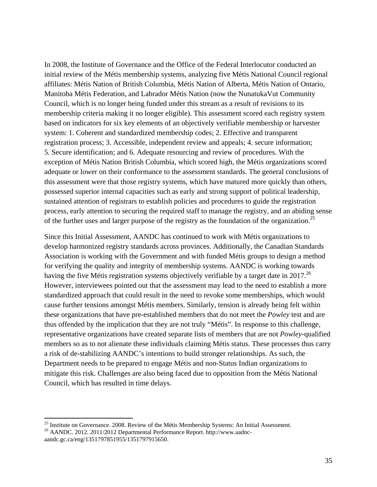In 2008, the Institute of Governance and the Office of the Federal Interlocutor conducted an initial review of the Métis membership systems, analyzing five Métis National Council regional affiliates: Métis Nation of British Columbia, Métis Nation of Alberta, Métis Nation of Ontario, Manitoba Métis Federation, and Labrador Métis Nation (now the NunatukaVut Community Council, which is no longer being funded under this stream as a result of revisions to its membership criteria making it no longer eligible). This assessment scored each registry system based on indicators for six key elements of an objectively verifiable membership or harvester system: 1. Coherent and standardized membership codes; 2. Effective and transparent registration process; 3. Accessible, independent review and appeals; 4. secure information; 5. Secure identification; and 6. Adequate resourcing and review of procedures. With the exception of Métis Nation British Columbia, which scored high, the Métis organizations scored adequate or lower on their conformance to the assessment standards. The general conclusions of this assessment were that those registry systems, which have matured more quickly than others, possessed superior internal capacities such as early and strong support of political leadership, sustained attention of registrars to establish policies and procedures to guide the registration process, early attention to securing the required staff to manage the registry, and an abiding sense of the further uses and larger purpose of the registry as the foundation of the organization.<sup>25</sup>

Since this Initial Assessment, AANDC has continued to work with Métis organizations to develop harmonized registry standards across provinces. Additionally, the Canadian Standards Association is working with the Government and with funded Métis groups to design a method for verifying the quality and integrity of membership systems. AANDC is working towards having the five Métis registration systems objectively verifiable by a target date in 2017.<sup>26</sup> However, interviewees pointed out that the assessment may lead to the need to establish a more standardized approach that could result in the need to revoke some memberships, which would cause further tensions amongst Métis members. Similarly, tension is already being felt within these organizations that have pre-established members that do not meet the *Powley* test and are thus offended by the implication that they are not truly "Métis". In response to this challenge, representative organizations have created separate lists of members that are not *Powley*-qualified members so as to not alienate these individuals claiming Métis status. These processes thus carry a risk of de-stabilizing AANDC's intentions to build stronger relationships. As such, the Department needs to be prepared to engage Métis and non-Status Indian organizations to mitigate this risk. Challenges are also being faced due to opposition from the Métis National Council, which has resulted in time delays.

<sup>&</sup>lt;sup>25</sup> Institute on Governance. 2008. Review of the Métis Membership Systems: An Initial Assessment.

<sup>&</sup>lt;sup>26</sup> AANDC. 2012. 2011/2012 Departmental Performance Report. http://www.aadncaandc.gc.ca/eng/1351797851955/1351797915650.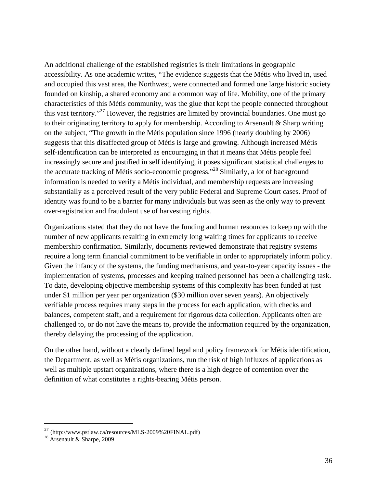An additional challenge of the established registries is their limitations in geographic accessibility. As one academic writes, "The evidence suggests that the Métis who lived in, used and occupied this vast area, the Northwest, were connected and formed one large historic society founded on kinship, a shared economy and a common way of life. Mobility, one of the primary characteristics of this Métis community, was the glue that kept the people connected throughout this vast territory."27 However, the registries are limited by provincial boundaries. One must go to their originating territory to apply for membership. According to Arsenault & Sharp writing on the subject, "The growth in the Métis population since 1996 (nearly doubling by 2006) suggests that this disaffected group of Métis is large and growing. Although increased Métis self-identification can be interpreted as encouraging in that it means that Métis people feel increasingly secure and justified in self identifying, it poses significant statistical challenges to the accurate tracking of Métis socio-economic progress."28 Similarly, a lot of background information is needed to verify a Métis individual, and membership requests are increasing substantially as a perceived result of the very public Federal and Supreme Court cases. Proof of identity was found to be a barrier for many individuals but was seen as the only way to prevent over-registration and fraudulent use of harvesting rights.

Organizations stated that they do not have the funding and human resources to keep up with the number of new applicants resulting in extremely long waiting times for applicants to receive membership confirmation. Similarly, documents reviewed demonstrate that registry systems require a long term financial commitment to be verifiable in order to appropriately inform policy. Given the infancy of the systems, the funding mechanisms, and year-to-year capacity issues - the implementation of systems, processes and keeping trained personnel has been a challenging task. To date, developing objective membership systems of this complexity has been funded at just under \$1 million per year per organization (\$30 million over seven years). An objectively verifiable process requires many steps in the process for each application, with checks and balances, competent staff, and a requirement for rigorous data collection. Applicants often are challenged to, or do not have the means to, provide the information required by the organization, thereby delaying the processing of the application.

On the other hand, without a clearly defined legal and policy framework for Métis identification, the Department, as well as Métis organizations, run the risk of high influxes of applications as well as multiple upstart organizations, where there is a high degree of contention over the definition of what constitutes a rights-bearing Métis person.

<sup>&</sup>lt;sup>27</sup> (http://www.pstlaw.ca/resources/MLS-2009%20FINAL.pdf)<br><sup>28</sup> Arsenault & Sharpe, 2009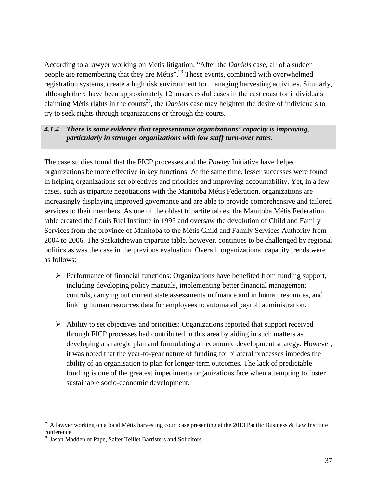According to a lawyer working on Métis litigation, "After the *Daniels* case, all of a sudden people are remembering that they are Métis".29 These events, combined with overwhelmed registration systems, create a high risk environment for managing harvesting activities. Similarly, although there have been approximately 12 unsuccessful cases in the east coast for individuals claiming Métis rights in the courts<sup>30</sup>, the *Daniels* case may heighten the desire of individuals to try to seek rights through organizations or through the courts.

#### *4.1.4 There is some evidence that representative organizations' capacity is improving, particularly in stronger organizations with low staff turn-over rates.*

The case studies found that the FICP processes and the *Powley* Initiative have helped organizations be more effective in key functions. At the same time, lesser successes were found in helping organizations set objectives and priorities and improving accountability. Yet, in a few cases, such as tripartite negotiations with the Manitoba Métis Federation, organizations are increasingly displaying improved governance and are able to provide comprehensive and tailored services to their members. As one of the oldest tripartite tables, the Manitoba Métis Federation table created the Louis Riel Institute in 1995 and oversaw the devolution of Child and Family Services from the province of Manitoba to the Métis Child and Family Services Authority from 2004 to 2006. The Saskatchewan tripartite table, however, continues to be challenged by regional politics as was the case in the previous evaluation. Overall, organizational capacity trends were as follows:

- $\triangleright$  Performance of financial functions: Organizations have benefited from funding support, including developing policy manuals, implementing better financial management controls, carrying out current state assessments in finance and in human resources, and linking human resources data for employees to automated payroll administration.
- Ability to set objectives and priorities: Organizations reported that support received through FICP processes had contributed in this area by aiding in such matters as developing a strategic plan and formulating an economic development strategy. However, it was noted that the year-to-year nature of funding for bilateral processes impedes the ability of an organisation to plan for longer-term outcomes. The lack of predictable funding is one of the greatest impediments organizations face when attempting to foster sustainable socio-economic development.

<sup>&</sup>lt;sup>29</sup> A lawyer working on a local Métis harvesting court case presenting at the 2013 Pacific Business & Law Institute conference

<sup>&</sup>lt;sup>30</sup> Jason Madden of Pape, Salter Teillet Barristers and Solicitors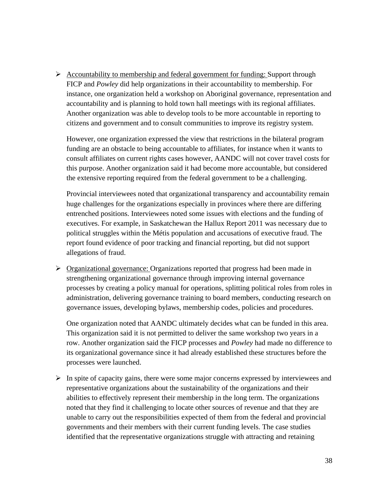$\triangleright$  Accountability to membership and federal government for funding: Support through FICP and *Powley* did help organizations in their accountability to membership. For instance, one organization held a workshop on Aboriginal governance, representation and accountability and is planning to hold town hall meetings with its regional affiliates. Another organization was able to develop tools to be more accountable in reporting to citizens and government and to consult communities to improve its registry system.

However, one organization expressed the view that restrictions in the bilateral program funding are an obstacle to being accountable to affiliates, for instance when it wants to consult affiliates on current rights cases however, AANDC will not cover travel costs for this purpose. Another organization said it had become more accountable, but considered the extensive reporting required from the federal government to be a challenging.

Provincial interviewees noted that organizational transparency and accountability remain huge challenges for the organizations especially in provinces where there are differing entrenched positions. Interviewees noted some issues with elections and the funding of executives. For example, in Saskatchewan the Hallux Report 2011 was necessary due to political struggles within the Métis population and accusations of executive fraud. The report found evidence of poor tracking and financial reporting, but did not support allegations of fraud.

 $\triangleright$  Organizational governance: Organizations reported that progress had been made in strengthening organizational governance through improving internal governance processes by creating a policy manual for operations, splitting political roles from roles in administration, delivering governance training to board members, conducting research on governance issues, developing bylaws, membership codes, policies and procedures.

One organization noted that AANDC ultimately decides what can be funded in this area. This organization said it is not permitted to deliver the same workshop two years in a row. Another organization said the FICP processes and *Powley* had made no difference to its organizational governance since it had already established these structures before the processes were launched.

 $\triangleright$  In spite of capacity gains, there were some major concerns expressed by interviewees and representative organizations about the sustainability of the organizations and their abilities to effectively represent their membership in the long term. The organizations noted that they find it challenging to locate other sources of revenue and that they are unable to carry out the responsibilities expected of them from the federal and provincial governments and their members with their current funding levels. The case studies identified that the representative organizations struggle with attracting and retaining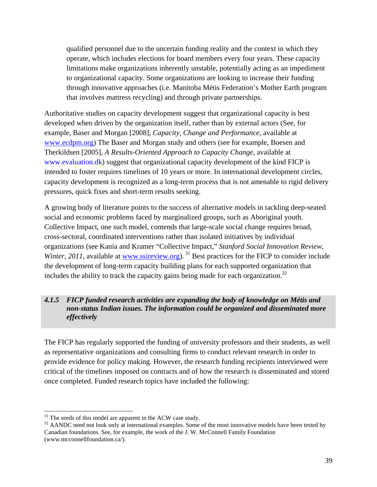qualified personnel due to the uncertain funding reality and the context in which they operate, which includes elections for board members every four years. These capacity limitations make organizations inherently unstable, potentially acting as an impediment to organizational capacity. Some organizations are looking to increase their funding through innovative approaches (i.e. Manitoba Métis Federation's Mother Earth program that involves mattress recycling) and through private partnerships.

Authoritative studies on capacity development suggest that organizational capacity is best developed when driven by the organization itself, rather than by external actors (See, for example, Baser and Morgan [2008], *Capacity, Change and Performance*, available at www.ecdpm.org) The Baser and Morgan study and others (see for example, Boesen and Therkildsen [2005], *A Results-Oriented Approach to Capacity Change*, available at www.evaluation.dk) suggest that organizational capacity development of the kind FICP is intended to foster requires timelines of 10 years or more. In international development circles, capacity development is recognized as a long-term process that is not amenable to rigid delivery pressures, quick fixes and short-term results seeking.

A growing body of literature points to the success of alternative models in tackling deep-seated social and economic problems faced by marginalized groups, such as Aboriginal youth. Collective Impact, one such model, contends that large-scale social change requires broad, cross-sectoral, coordinated interventions rather than isolated initiatives by individual organizations (see Kania and Kramer "Collective Impact," *Stanford Social Innovation Review, Winter, 2011*, available at www.ssireview.org).<sup>31</sup> Best practices for the FICP to consider include the development of long-term capacity building plans for each supported organization that includes the ability to track the capacity gains being made for each organization.<sup>32</sup>

### *4.1.5 FICP funded research activities are expanding the body of knowledge on Métis and non-status Indian issues. The information could be organized and disseminated more effectively*

The FICP has regularly supported the funding of university professors and their students, as well as representative organizations and consulting firms to conduct relevant research in order to provide evidence for policy making. However, the research funding recipients interviewed were critical of the timelines imposed on contracts and of how the research is disseminated and stored once completed. Funded research topics have included the following:

 $31$  The seeds of this model are apparent in the ACW case study.

<sup>&</sup>lt;sup>32</sup> AANDC need not look only at international examples. Some of the most innovative models have been tested by Canadian foundations. See, for example, the work of the J. W. McConnell Family Foundation (www.mcconnellfoundation.ca/).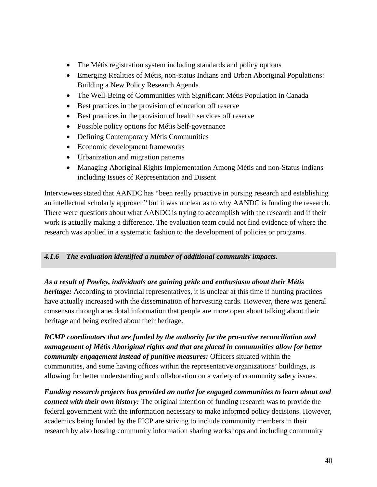- The Métis registration system including standards and policy options
- Emerging Realities of Métis, non-status Indians and Urban Aboriginal Populations: Building a New Policy Research Agenda
- The Well-Being of Communities with Significant Métis Population in Canada
- Best practices in the provision of education off reserve
- Best practices in the provision of health services off reserve
- Possible policy options for Métis Self-governance
- Defining Contemporary Métis Communities
- Economic development frameworks
- Urbanization and migration patterns
- Managing Aboriginal Rights Implementation Among Métis and non-Status Indians including Issues of Representation and Dissent

Interviewees stated that AANDC has "been really proactive in pursing research and establishing an intellectual scholarly approach" but it was unclear as to why AANDC is funding the research. There were questions about what AANDC is trying to accomplish with the research and if their work is actually making a difference. The evaluation team could not find evidence of where the research was applied in a systematic fashion to the development of policies or programs.

### *4.1.6 The evaluation identified a number of additional community impacts.*

### *As a result of Powley, individuals are gaining pride and enthusiasm about their Métis*

*heritage:* According to provincial representatives, it is unclear at this time if hunting practices have actually increased with the dissemination of harvesting cards. However, there was general consensus through anecdotal information that people are more open about talking about their heritage and being excited about their heritage.

*RCMP coordinators that are funded by the authority for the pro-active reconciliation and management of Métis Aboriginal rights and that are placed in communities allow for better community engagement instead of punitive measures:* Officers situated within the communities, and some having offices within the representative organizations' buildings, is allowing for better understanding and collaboration on a variety of community safety issues.

*Funding research projects has provided an outlet for engaged communities to learn about and connect with their own history:* The original intention of funding research was to provide the federal government with the information necessary to make informed policy decisions. However, academics being funded by the FICP are striving to include community members in their research by also hosting community information sharing workshops and including community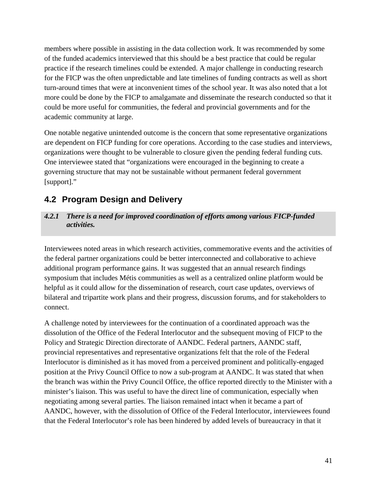members where possible in assisting in the data collection work. It was recommended by some of the funded academics interviewed that this should be a best practice that could be regular practice if the research timelines could be extended. A major challenge in conducting research for the FICP was the often unpredictable and late timelines of funding contracts as well as short turn-around times that were at inconvenient times of the school year. It was also noted that a lot more could be done by the FICP to amalgamate and disseminate the research conducted so that it could be more useful for communities, the federal and provincial governments and for the academic community at large.

One notable negative unintended outcome is the concern that some representative organizations are dependent on FICP funding for core operations. According to the case studies and interviews, organizations were thought to be vulnerable to closure given the pending federal funding cuts. One interviewee stated that "organizations were encouraged in the beginning to create a governing structure that may not be sustainable without permanent federal government [support]."

### **4.2 Program Design and Delivery**

### *4.2.1 There is a need for improved coordination of efforts among various FICP-funded activities.*

Interviewees noted areas in which research activities, commemorative events and the activities of the federal partner organizations could be better interconnected and collaborative to achieve additional program performance gains. It was suggested that an annual research findings symposium that includes Métis communities as well as a centralized online platform would be helpful as it could allow for the dissemination of research, court case updates, overviews of bilateral and tripartite work plans and their progress, discussion forums, and for stakeholders to connect.

A challenge noted by interviewees for the continuation of a coordinated approach was the dissolution of the Office of the Federal Interlocutor and the subsequent moving of FICP to the Policy and Strategic Direction directorate of AANDC. Federal partners, AANDC staff, provincial representatives and representative organizations felt that the role of the Federal Interlocutor is diminished as it has moved from a perceived prominent and politically-engaged position at the Privy Council Office to now a sub-program at AANDC. It was stated that when the branch was within the Privy Council Office, the office reported directly to the Minister with a minister's liaison. This was useful to have the direct line of communication, especially when negotiating among several parties. The liaison remained intact when it became a part of AANDC, however, with the dissolution of Office of the Federal Interlocutor, interviewees found that the Federal Interlocutor's role has been hindered by added levels of bureaucracy in that it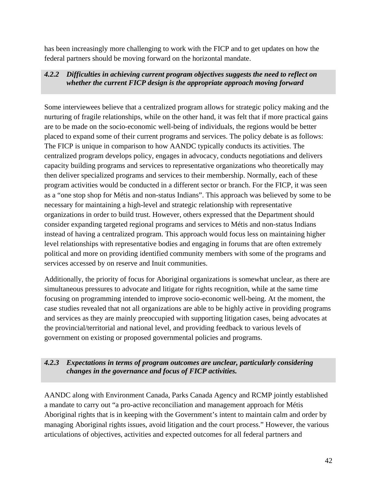has been increasingly more challenging to work with the FICP and to get updates on how the federal partners should be moving forward on the horizontal mandate.

### *4.2.2 Difficulties in achieving current program objectives suggests the need to reflect on whether the current FICP design is the appropriate approach moving forward*

Some interviewees believe that a centralized program allows for strategic policy making and the nurturing of fragile relationships, while on the other hand, it was felt that if more practical gains are to be made on the socio-economic well-being of individuals, the regions would be better placed to expand some of their current programs and services. The policy debate is as follows: The FICP is unique in comparison to how AANDC typically conducts its activities. The centralized program develops policy, engages in advocacy, conducts negotiations and delivers capacity building programs and services to representative organizations who theoretically may then deliver specialized programs and services to their membership. Normally, each of these program activities would be conducted in a different sector or branch. For the FICP, it was seen as a "one stop shop for Métis and non-status Indians". This approach was believed by some to be necessary for maintaining a high-level and strategic relationship with representative organizations in order to build trust. However, others expressed that the Department should consider expanding targeted regional programs and services to Métis and non-status Indians instead of having a centralized program. This approach would focus less on maintaining higher level relationships with representative bodies and engaging in forums that are often extremely political and more on providing identified community members with some of the programs and services accessed by on reserve and Inuit communities.

Additionally, the priority of focus for Aboriginal organizations is somewhat unclear, as there are simultaneous pressures to advocate and litigate for rights recognition, while at the same time focusing on programming intended to improve socio-economic well-being. At the moment, the case studies revealed that not all organizations are able to be highly active in providing programs and services as they are mainly preoccupied with supporting litigation cases, being advocates at the provincial/territorial and national level, and providing feedback to various levels of government on existing or proposed governmental policies and programs.

### *4.2.3 Expectations in terms of program outcomes are unclear, particularly considering changes in the governance and focus of FICP activities.*

AANDC along with Environment Canada, Parks Canada Agency and RCMP jointly established a mandate to carry out "a pro-active reconciliation and management approach for Métis Aboriginal rights that is in keeping with the Government's intent to maintain calm and order by managing Aboriginal rights issues, avoid litigation and the court process." However, the various articulations of objectives, activities and expected outcomes for all federal partners and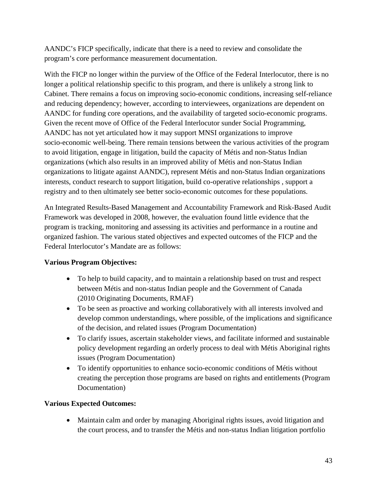AANDC's FICP specifically, indicate that there is a need to review and consolidate the program's core performance measurement documentation.

With the FICP no longer within the purview of the Office of the Federal Interlocutor, there is no longer a political relationship specific to this program, and there is unlikely a strong link to Cabinet. There remains a focus on improving socio-economic conditions, increasing self-reliance and reducing dependency; however, according to interviewees, organizations are dependent on AANDC for funding core operations, and the availability of targeted socio-economic programs. Given the recent move of Office of the Federal Interlocutor sunder Social Programming, AANDC has not yet articulated how it may support MNSI organizations to improve socio-economic well-being. There remain tensions between the various activities of the program to avoid litigation, engage in litigation, build the capacity of Métis and non-Status Indian organizations (which also results in an improved ability of Métis and non-Status Indian organizations to litigate against AANDC), represent Métis and non-Status Indian organizations interests, conduct research to support litigation, build co-operative relationships , support a registry and to then ultimately see better socio-economic outcomes for these populations.

An Integrated Results-Based Management and Accountability Framework and Risk-Based Audit Framework was developed in 2008, however, the evaluation found little evidence that the program is tracking, monitoring and assessing its activities and performance in a routine and organized fashion. The various stated objectives and expected outcomes of the FICP and the Federal Interlocutor's Mandate are as follows:

### **Various Program Objectives:**

- To help to build capacity, and to maintain a relationship based on trust and respect between Métis and non-status Indian people and the Government of Canada (2010 Originating Documents, RMAF)
- To be seen as proactive and working collaboratively with all interests involved and develop common understandings, where possible, of the implications and significance of the decision, and related issues (Program Documentation)
- To clarify issues, ascertain stakeholder views, and facilitate informed and sustainable policy development regarding an orderly process to deal with Métis Aboriginal rights issues (Program Documentation)
- To identify opportunities to enhance socio-economic conditions of Métis without creating the perception those programs are based on rights and entitlements (Program Documentation)

### **Various Expected Outcomes:**

 Maintain calm and order by managing Aboriginal rights issues, avoid litigation and the court process, and to transfer the Métis and non-status Indian litigation portfolio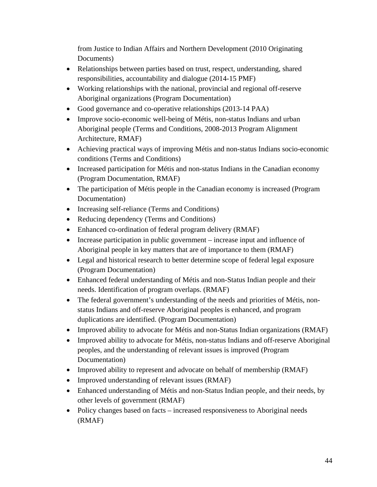from Justice to Indian Affairs and Northern Development (2010 Originating Documents)

- Relationships between parties based on trust, respect, understanding, shared responsibilities, accountability and dialogue (2014-15 PMF)
- Working relationships with the national, provincial and regional off-reserve Aboriginal organizations (Program Documentation)
- Good governance and co-operative relationships (2013-14 PAA)
- Improve socio-economic well-being of Métis, non-status Indians and urban Aboriginal people (Terms and Conditions, 2008-2013 Program Alignment Architecture, RMAF)
- Achieving practical ways of improving Métis and non-status Indians socio-economic conditions (Terms and Conditions)
- Increased participation for Métis and non-status Indians in the Canadian economy (Program Documentation, RMAF)
- The participation of Métis people in the Canadian economy is increased (Program Documentation)
- Increasing self-reliance (Terms and Conditions)
- Reducing dependency (Terms and Conditions)
- Enhanced co-ordination of federal program delivery (RMAF)
- Increase participation in public government increase input and influence of Aboriginal people in key matters that are of importance to them (RMAF)
- Legal and historical research to better determine scope of federal legal exposure (Program Documentation)
- Enhanced federal understanding of Métis and non-Status Indian people and their needs. Identification of program overlaps. (RMAF)
- The federal government's understanding of the needs and priorities of Métis, nonstatus Indians and off-reserve Aboriginal peoples is enhanced, and program duplications are identified. (Program Documentation)
- Improved ability to advocate for Métis and non-Status Indian organizations (RMAF)
- Improved ability to advocate for Métis, non-status Indians and off-reserve Aboriginal peoples, and the understanding of relevant issues is improved (Program Documentation)
- Improved ability to represent and advocate on behalf of membership (RMAF)
- Improved understanding of relevant issues (RMAF)
- Enhanced understanding of Métis and non-Status Indian people, and their needs, by other levels of government (RMAF)
- Policy changes based on facts increased responsiveness to Aboriginal needs (RMAF)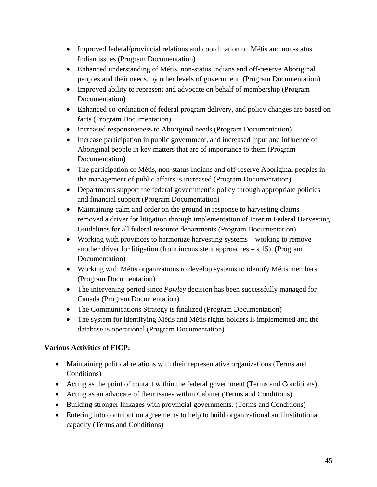- Improved federal/provincial relations and coordination on Métis and non-status Indian issues (Program Documentation)
- Enhanced understanding of Métis, non-status Indians and off-reserve Aboriginal peoples and their needs, by other levels of government. (Program Documentation)
- Improved ability to represent and advocate on behalf of membership (Program Documentation)
- Enhanced co-ordination of federal program delivery, and policy changes are based on facts (Program Documentation)
- Increased responsiveness to Aboriginal needs (Program Documentation)
- Increase participation in public government, and increased input and influence of Aboriginal people in key matters that are of importance to them (Program Documentation)
- The participation of Métis, non-status Indians and off-reserve Aboriginal peoples in the management of public affairs is increased (Program Documentation)
- Departments support the federal government's policy through appropriate policies and financial support (Program Documentation)
- Maintaining calm and order on the ground in response to harvesting claims removed a driver for litigation through implementation of Interim Federal Harvesting Guidelines for all federal resource departments (Program Documentation)
- Working with provinces to harmonize harvesting systems working to remove another driver for litigation (from inconsistent approaches  $- s.15$ ). (Program Documentation)
- Working with Métis organizations to develop systems to identify Métis members (Program Documentation)
- The intervening period since *Powley* decision has been successfully managed for Canada (Program Documentation)
- The Communications Strategy is finalized (Program Documentation)
- The system for identifying Métis and Métis rights holders is implemented and the database is operational (Program Documentation)

### **Various Activities of FICP:**

- Maintaining political relations with their representative organizations (Terms and Conditions)
- Acting as the point of contact within the federal government (Terms and Conditions)
- Acting as an advocate of their issues within Cabinet (Terms and Conditions)
- Building stronger linkages with provincial governments. (Terms and Conditions)
- Entering into contribution agreements to help to build organizational and institutional capacity (Terms and Conditions)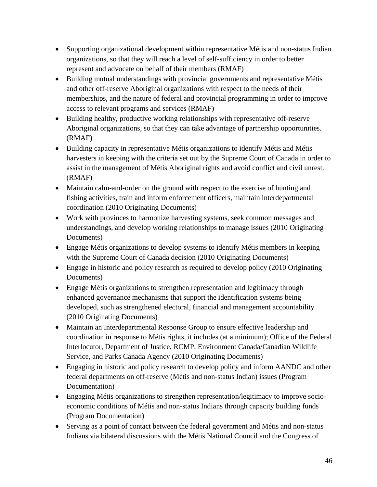- Supporting organizational development within representative Métis and non-status Indian organizations, so that they will reach a level of self-sufficiency in order to better represent and advocate on behalf of their members (RMAF)
- Building mutual understandings with provincial governments and representative Métis and other off-reserve Aboriginal organizations with respect to the needs of their memberships, and the nature of federal and provincial programming in order to improve access to relevant programs and services (RMAF)
- Building healthy, productive working relationships with representative off-reserve Aboriginal organizations, so that they can take advantage of partnership opportunities. (RMAF)
- Building capacity in representative Métis organizations to identify Métis and Métis harvesters in keeping with the criteria set out by the Supreme Court of Canada in order to assist in the management of Métis Aboriginal rights and avoid conflict and civil unrest. (RMAF)
- Maintain calm-and-order on the ground with respect to the exercise of hunting and fishing activities, train and inform enforcement officers, maintain interdepartmental coordination (2010 Originating Documents)
- Work with provinces to harmonize harvesting systems, seek common messages and understandings, and develop working relationships to manage issues (2010 Originating Documents)
- Engage Métis organizations to develop systems to identify Métis members in keeping with the Supreme Court of Canada decision (2010 Originating Documents)
- Engage in historic and policy research as required to develop policy (2010 Originating Documents)
- Engage Métis organizations to strengthen representation and legitimacy through enhanced governance mechanisms that support the identification systems being developed, such as strengthened electoral, financial and management accountability (2010 Originating Documents)
- Maintain an Interdepartmental Response Group to ensure effective leadership and coordination in response to Métis rights, it includes (at a minimum); Office of the Federal Interlocutor, Department of Justice, RCMP, Environment Canada/Canadian Wildlife Service, and Parks Canada Agency (2010 Originating Documents)
- Engaging in historic and policy research to develop policy and inform AANDC and other federal departments on off-reserve (Métis and non-status Indian) issues (Program Documentation)
- Engaging Métis organizations to strengthen representation/legitimacy to improve socioeconomic conditions of Métis and non-status Indians through capacity building funds (Program Documentation)
- Serving as a point of contact between the federal government and Métis and non-status Indians via bilateral discussions with the Métis National Council and the Congress of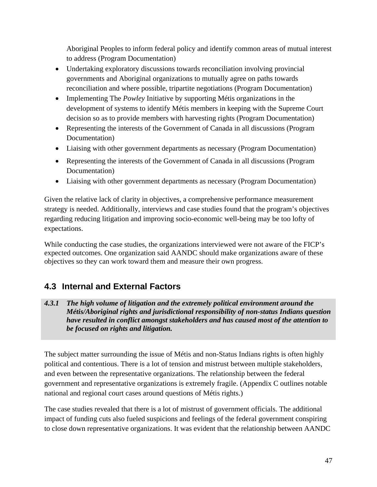Aboriginal Peoples to inform federal policy and identify common areas of mutual interest to address (Program Documentation)

- Undertaking exploratory discussions towards reconciliation involving provincial governments and Aboriginal organizations to mutually agree on paths towards reconciliation and where possible, tripartite negotiations (Program Documentation)
- Implementing The *Powley* Initiative by supporting Métis organizations in the development of systems to identify Métis members in keeping with the Supreme Court decision so as to provide members with harvesting rights (Program Documentation)
- Representing the interests of the Government of Canada in all discussions (Program Documentation)
- Liaising with other government departments as necessary (Program Documentation)
- Representing the interests of the Government of Canada in all discussions (Program Documentation)
- Liaising with other government departments as necessary (Program Documentation)

Given the relative lack of clarity in objectives, a comprehensive performance measurement strategy is needed. Additionally, interviews and case studies found that the program's objectives regarding reducing litigation and improving socio-economic well-being may be too lofty of expectations.

While conducting the case studies, the organizations interviewed were not aware of the FICP's expected outcomes. One organization said AANDC should make organizations aware of these objectives so they can work toward them and measure their own progress.

### **4.3 Internal and External Factors**

*4.3.1 The high volume of litigation and the extremely political environment around the Métis/Aboriginal rights and jurisdictional responsibility of non-status Indians question have resulted in conflict amongst stakeholders and has caused most of the attention to be focused on rights and litigation.* 

The subject matter surrounding the issue of Métis and non-Status Indians rights is often highly political and contentious. There is a lot of tension and mistrust between multiple stakeholders, and even between the representative organizations. The relationship between the federal government and representative organizations is extremely fragile. (Appendix C outlines notable national and regional court cases around questions of Métis rights.)

The case studies revealed that there is a lot of mistrust of government officials. The additional impact of funding cuts also fueled suspicions and feelings of the federal government conspiring to close down representative organizations. It was evident that the relationship between AANDC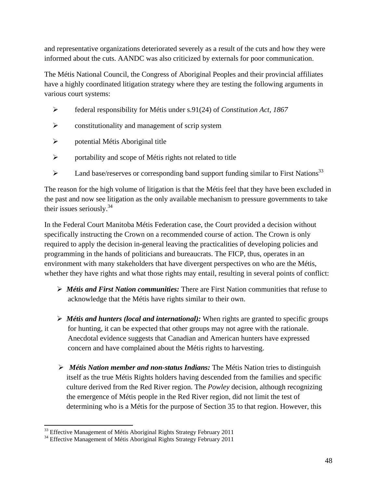and representative organizations deteriorated severely as a result of the cuts and how they were informed about the cuts. AANDC was also criticized by externals for poor communication.

The Métis National Council, the Congress of Aboriginal Peoples and their provincial affiliates have a highly coordinated litigation strategy where they are testing the following arguments in various court systems:

- federal responsibility for Métis under s.91(24) of *Constitution Act, 1867*
- $\triangleright$  constitutionality and management of scrip system
- potential Métis Aboriginal title
- portability and scope of Métis rights not related to title
- $\triangleright$  Land base/reserves or corresponding band support funding similar to First Nations<sup>33</sup>

The reason for the high volume of litigation is that the Métis feel that they have been excluded in the past and now see litigation as the only available mechanism to pressure governments to take their issues seriously.  $34$ 

In the Federal Court Manitoba Métis Federation case, the Court provided a decision without specifically instructing the Crown on a recommended course of action. The Crown is only required to apply the decision in-general leaving the practicalities of developing policies and programming in the hands of politicians and bureaucrats. The FICP, thus, operates in an environment with many stakeholders that have divergent perspectives on who are the Métis, whether they have rights and what those rights may entail, resulting in several points of conflict:

- *Métis and First Nation communities:* There are First Nation communities that refuse to acknowledge that the Métis have rights similar to their own.
- *Métis and hunters (local and international):* When rights are granted to specific groups for hunting, it can be expected that other groups may not agree with the rationale. Anecdotal evidence suggests that Canadian and American hunters have expressed concern and have complained about the Métis rights to harvesting.
- *Métis Nation member and non-status Indians:* The Métis Nation tries to distinguish itself as the true Métis Rights holders having descended from the families and specific culture derived from the Red River region. The *Powley* decision, although recognizing the emergence of Métis people in the Red River region, did not limit the test of determining who is a Métis for the purpose of Section 35 to that region. However, this

<sup>&</sup>lt;sup>33</sup> Effective Management of Métis Aboriginal Rights Strategy February 2011

<sup>&</sup>lt;sup>34</sup> Effective Management of Métis Aboriginal Rights Strategy February 2011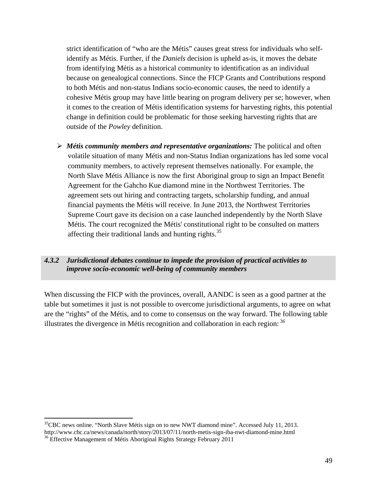strict identification of "who are the Métis" causes great stress for individuals who selfidentify as Métis. Further, if the *Daniels* decision is upheld as-is, it moves the debate from identifying Métis as a historical community to identification as an individual because on genealogical connections. Since the FICP Grants and Contributions respond to both Métis and non-status Indians socio-economic causes, the need to identify a cohesive Métis group may have little bearing on program delivery per se; however, when it comes to the creation of Métis identification systems for harvesting rights, this potential change in definition could be problematic for those seeking harvesting rights that are outside of the *Powley* definition.

 *Métis community members and representative organizations:* The political and often volatile situation of many Métis and non-Status Indian organizations has led some vocal community members, to actively represent themselves nationally. For example, the North Slave Métis Alliance is now the first Aboriginal group to sign an Impact Benefit Agreement for the Gahcho Kue diamond mine in the Northwest Territories. The agreement sets out hiring and contracting targets, scholarship funding, and annual financial payments the Métis will receive. In June 2013, the Northwest Territories Supreme Court gave its decision on a case launched independently by the North Slave Métis. The court recognized the Métis' constitutional right to be consulted on matters affecting their traditional lands and hunting rights.<sup>35</sup>

#### *4.3.2 Jurisdictional debates continue to impede the provision of practical activities to improve socio-economic well-being of community members*

When discussing the FICP with the provinces, overall, AANDC is seen as a good partner at the table but sometimes it just is not possible to overcome jurisdictional arguments, to agree on what are the "rights" of the Métis, and to come to consensus on the way forward. The following table illustrates the divergence in Métis recognition and collaboration in each region: 36

  ${}^{35}$ CBC news online. "North Slave Métis sign on to new NWT diamond mine". Accessed July 11, 2013. http://www.cbc.ca/news/canada/north/story/2013/07/11/north-metis-sign-iba-nwt-diamond-mine.html <sup>36</sup> Effective Management of Métis Aboriginal Rights Strategy February 2011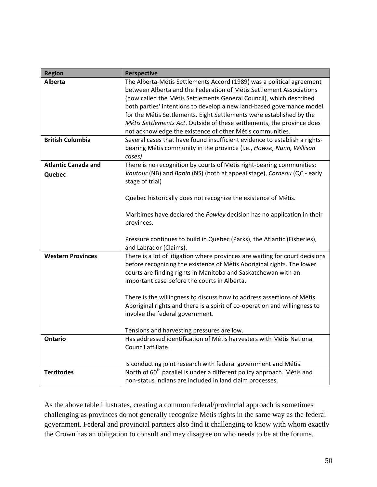| <b>Region</b>              | <b>Perspective</b>                                                                                                 |
|----------------------------|--------------------------------------------------------------------------------------------------------------------|
| <b>Alberta</b>             | The Alberta-Métis Settlements Accord (1989) was a political agreement                                              |
|                            | between Alberta and the Federation of Métis Settlement Associations                                                |
|                            | (now called the Métis Settlements General Council), which described                                                |
|                            | both parties' intentions to develop a new land-based governance model                                              |
|                            | for the Métis Settlements. Eight Settlements were established by the                                               |
|                            | Métis Settlements Act. Outside of these settlements, the province does                                             |
|                            | not acknowledge the existence of other Métis communities.                                                          |
| <b>British Columbia</b>    | Several cases that have found insufficient evidence to establish a rights-                                         |
|                            | bearing Métis community in the province (i.e., Howse, Nunn, Willison                                               |
|                            | cases)                                                                                                             |
| <b>Atlantic Canada and</b> | There is no recognition by courts of Métis right-bearing communities;                                              |
| Quebec                     | Vautour (NB) and Babin (NS) (both at appeal stage), Corneau (QC - early                                            |
|                            | stage of trial)                                                                                                    |
|                            |                                                                                                                    |
|                            | Quebec historically does not recognize the existence of Métis.                                                     |
|                            |                                                                                                                    |
|                            | Maritimes have declared the Powley decision has no application in their                                            |
|                            | provinces.                                                                                                         |
|                            |                                                                                                                    |
|                            | Pressure continues to build in Quebec (Parks), the Atlantic (Fisheries),                                           |
|                            | and Labrador (Claims).                                                                                             |
| <b>Western Provinces</b>   | There is a lot of litigation where provinces are waiting for court decisions                                       |
|                            | before recognizing the existence of Métis Aboriginal rights. The lower                                             |
|                            | courts are finding rights in Manitoba and Saskatchewan with an                                                     |
|                            | important case before the courts in Alberta.                                                                       |
|                            |                                                                                                                    |
|                            | There is the willingness to discuss how to address assertions of Métis                                             |
|                            | Aboriginal rights and there is a spirit of co-operation and willingness to                                         |
|                            | involve the federal government.                                                                                    |
|                            |                                                                                                                    |
| <b>Ontario</b>             | Tensions and harvesting pressures are low.<br>Has addressed identification of Métis harvesters with Métis National |
|                            | Council affiliate.                                                                                                 |
|                            |                                                                                                                    |
|                            | Is conducting joint research with federal government and Métis.                                                    |
| <b>Territories</b>         | North of 60 <sup>th</sup> parallel is under a different policy approach. Métis and                                 |
|                            | non-status Indians are included in land claim processes.                                                           |
|                            |                                                                                                                    |

As the above table illustrates, creating a common federal/provincial approach is sometimes challenging as provinces do not generally recognize Métis rights in the same way as the federal government. Federal and provincial partners also find it challenging to know with whom exactly the Crown has an obligation to consult and may disagree on who needs to be at the forums.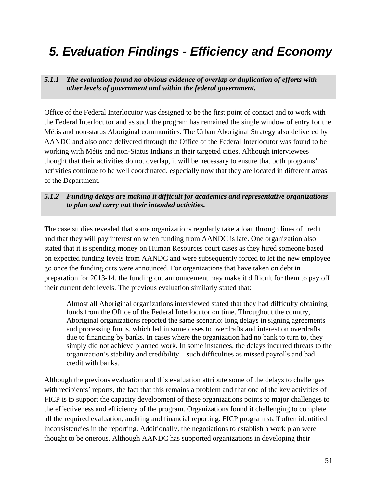### *5. Evaluation Findings - Efficiency and Economy*

*5.1.1 The evaluation found no obvious evidence of overlap or duplication of efforts with other levels of government and within the federal government.* 

Office of the Federal Interlocutor was designed to be the first point of contact and to work with the Federal Interlocutor and as such the program has remained the single window of entry for the Métis and non-status Aboriginal communities. The Urban Aboriginal Strategy also delivered by AANDC and also once delivered through the Office of the Federal Interlocutor was found to be working with Métis and non-Status Indians in their targeted cities. Although interviewees thought that their activities do not overlap, it will be necessary to ensure that both programs' activities continue to be well coordinated, especially now that they are located in different areas of the Department.

### *5.1.2 Funding delays are making it difficult for academics and representative organizations to plan and carry out their intended activities.*

The case studies revealed that some organizations regularly take a loan through lines of credit and that they will pay interest on when funding from AANDC is late. One organization also stated that it is spending money on Human Resources court cases as they hired someone based on expected funding levels from AANDC and were subsequently forced to let the new employee go once the funding cuts were announced. For organizations that have taken on debt in preparation for 2013-14, the funding cut announcement may make it difficult for them to pay off their current debt levels. The previous evaluation similarly stated that:

Almost all Aboriginal organizations interviewed stated that they had difficulty obtaining funds from the Office of the Federal Interlocutor on time. Throughout the country, Aboriginal organizations reported the same scenario: long delays in signing agreements and processing funds, which led in some cases to overdrafts and interest on overdrafts due to financing by banks. In cases where the organization had no bank to turn to, they simply did not achieve planned work. In some instances, the delays incurred threats to the organization's stability and credibility—such difficulties as missed payrolls and bad credit with banks.

Although the previous evaluation and this evaluation attribute some of the delays to challenges with recipients' reports, the fact that this remains a problem and that one of the key activities of FICP is to support the capacity development of these organizations points to major challenges to the effectiveness and efficiency of the program. Organizations found it challenging to complete all the required evaluation, auditing and financial reporting. FICP program staff often identified inconsistencies in the reporting. Additionally, the negotiations to establish a work plan were thought to be onerous. Although AANDC has supported organizations in developing their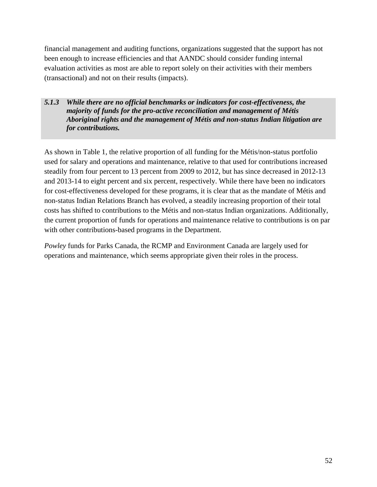financial management and auditing functions, organizations suggested that the support has not been enough to increase efficiencies and that AANDC should consider funding internal evaluation activities as most are able to report solely on their activities with their members (transactional) and not on their results (impacts).

### *5.1.3 While there are no official benchmarks or indicators for cost-effectiveness, the majority of funds for the pro-active reconciliation and management of Métis Aboriginal rights and the management of Métis and non-status Indian litigation are for contributions.*

As shown in Table 1, the relative proportion of all funding for the Métis/non-status portfolio used for salary and operations and maintenance, relative to that used for contributions increased steadily from four percent to 13 percent from 2009 to 2012, but has since decreased in 2012-13 and 2013-14 to eight percent and six percent, respectively. While there have been no indicators for cost-effectiveness developed for these programs, it is clear that as the mandate of Métis and non-status Indian Relations Branch has evolved, a steadily increasing proportion of their total costs has shifted to contributions to the Métis and non-status Indian organizations. Additionally, the current proportion of funds for operations and maintenance relative to contributions is on par with other contributions-based programs in the Department.

*Powley* funds for Parks Canada, the RCMP and Environment Canada are largely used for operations and maintenance, which seems appropriate given their roles in the process.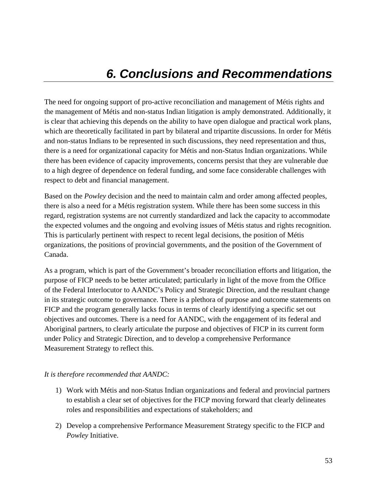The need for ongoing support of pro-active reconciliation and management of Métis rights and the management of Métis and non-status Indian litigation is amply demonstrated. Additionally, it is clear that achieving this depends on the ability to have open dialogue and practical work plans, which are theoretically facilitated in part by bilateral and tripartite discussions. In order for Métis and non-status Indians to be represented in such discussions, they need representation and thus, there is a need for organizational capacity for Métis and non-Status Indian organizations. While there has been evidence of capacity improvements, concerns persist that they are vulnerable due to a high degree of dependence on federal funding, and some face considerable challenges with respect to debt and financial management.

Based on the *Powley* decision and the need to maintain calm and order among affected peoples, there is also a need for a Métis registration system. While there has been some success in this regard, registration systems are not currently standardized and lack the capacity to accommodate the expected volumes and the ongoing and evolving issues of Métis status and rights recognition. This is particularly pertinent with respect to recent legal decisions, the position of Métis organizations, the positions of provincial governments, and the position of the Government of Canada.

As a program, which is part of the Government's broader reconciliation efforts and litigation, the purpose of FICP needs to be better articulated; particularly in light of the move from the Office of the Federal Interlocutor to AANDC's Policy and Strategic Direction, and the resultant change in its strategic outcome to governance. There is a plethora of purpose and outcome statements on FICP and the program generally lacks focus in terms of clearly identifying a specific set out objectives and outcomes. There is a need for AANDC, with the engagement of its federal and Aboriginal partners, to clearly articulate the purpose and objectives of FICP in its current form under Policy and Strategic Direction, and to develop a comprehensive Performance Measurement Strategy to reflect this.

### *It is therefore recommended that AANDC:*

- 1) Work with Métis and non-Status Indian organizations and federal and provincial partners to establish a clear set of objectives for the FICP moving forward that clearly delineates roles and responsibilities and expectations of stakeholders; and
- 2) Develop a comprehensive Performance Measurement Strategy specific to the FICP and *Powley* Initiative.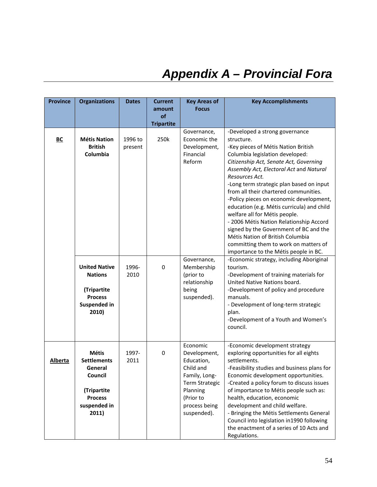# *Appendix A – Provincial Fora*

| <b>Province</b>  | <b>Organizations</b>                                                                                               | <b>Dates</b>       | <b>Current</b><br>amount | <b>Key Areas of</b><br><b>Focus</b>                                                                                                                    | <b>Key Accomplishments</b>                                                                                                                                                                                                                                                                                                                                                                                                                                                                                                                                                                                                                              |
|------------------|--------------------------------------------------------------------------------------------------------------------|--------------------|--------------------------|--------------------------------------------------------------------------------------------------------------------------------------------------------|---------------------------------------------------------------------------------------------------------------------------------------------------------------------------------------------------------------------------------------------------------------------------------------------------------------------------------------------------------------------------------------------------------------------------------------------------------------------------------------------------------------------------------------------------------------------------------------------------------------------------------------------------------|
|                  |                                                                                                                    |                    | of<br><b>Tripartite</b>  |                                                                                                                                                        |                                                                                                                                                                                                                                                                                                                                                                                                                                                                                                                                                                                                                                                         |
| $\underline{BC}$ | <b>Métis Nation</b><br><b>British</b><br>Columbia                                                                  | 1996 to<br>present | 250k                     | Governance,<br>Economic the<br>Development,<br>Financial<br>Reform                                                                                     | -Developed a strong governance<br>structure.<br>-Key pieces of Métis Nation British<br>Columbia legislation developed:<br>Citizenship Act, Senate Act, Governing<br>Assembly Act, Electoral Act and Natural<br>Resources Act.<br>-Long term strategic plan based on input<br>from all their chartered communities.<br>-Policy pieces on economic development,<br>education (e.g. Métis curricula) and child<br>welfare all for Métis people.<br>- 2006 Métis Nation Relationship Accord<br>signed by the Government of BC and the<br>Métis Nation of British Columbia<br>committing them to work on matters of<br>importance to the Métis people in BC. |
|                  | <b>United Native</b><br><b>Nations</b><br>(Tripartite<br><b>Process</b><br>Suspended in<br>2010)                   | 1996-<br>2010      | 0                        | Governance,<br>Membership<br>(prior to<br>relationship<br>being<br>suspended).                                                                         | -Economic strategy, including Aboriginal<br>tourism.<br>-Development of training materials for<br>United Native Nations board.<br>-Development of policy and procedure<br>manuals.<br>- Development of long-term strategic<br>plan.<br>-Development of a Youth and Women's<br>council.                                                                                                                                                                                                                                                                                                                                                                  |
| Alberta          | <b>Métis</b><br><b>Settlements</b><br>General<br>Council<br>(Tripartite<br><b>Process</b><br>suspended in<br>2011) | 1997-<br>2011      | 0                        | Economic<br>Development,<br>Education,<br>Child and<br>Family, Long-<br><b>Term Strategic</b><br>Planning<br>(Prior to<br>process being<br>suspended). | -Economic development strategy<br>exploring opportunities for all eights<br>settlements.<br>-Feasibility studies and business plans for<br>Economic development opportunities.<br>-Created a policy forum to discuss issues<br>of importance to Métis people such as:<br>health, education, economic<br>development and child welfare.<br>- Bringing the Métis Settlements General<br>Council into legislation in1990 following<br>the enactment of a series of 10 Acts and<br>Regulations.                                                                                                                                                             |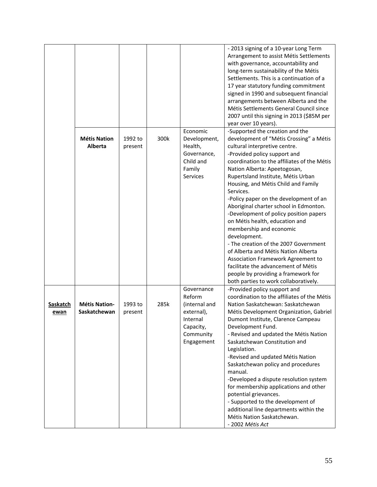|                  |                                       |                    |      |                                                                                                         | - 2013 signing of a 10-year Long Term<br>Arrangement to assist Métis Settlements<br>with governance, accountability and<br>long-term sustainability of the Métis<br>Settlements. This is a continuation of a<br>17 year statutory funding commitment<br>signed in 1990 and subsequent financial<br>arrangements between Alberta and the<br>Métis Settlements General Council since<br>2007 until this signing in 2013 (\$85M per<br>year over 10 years).                                                                                                                                                                                                                                                                                                                     |
|------------------|---------------------------------------|--------------------|------|---------------------------------------------------------------------------------------------------------|------------------------------------------------------------------------------------------------------------------------------------------------------------------------------------------------------------------------------------------------------------------------------------------------------------------------------------------------------------------------------------------------------------------------------------------------------------------------------------------------------------------------------------------------------------------------------------------------------------------------------------------------------------------------------------------------------------------------------------------------------------------------------|
|                  | <b>Métis Nation</b><br><b>Alberta</b> | 1992 to<br>present | 300k | Economic<br>Development,<br>Health,<br>Governance,<br>Child and<br>Family<br>Services                   | -Supported the creation and the<br>development of "Métis Crossing" a Métis<br>cultural interpretive centre.<br>-Provided policy support and<br>coordination to the affiliates of the Métis<br>Nation Alberta: Apeetogosan,<br>Rupertsland Institute, Métis Urban<br>Housing, and Métis Child and Family<br>Services.<br>-Policy paper on the development of an<br>Aboriginal charter school in Edmonton.<br>-Development of policy position papers<br>on Métis health, education and<br>membership and economic<br>development.<br>- The creation of the 2007 Government<br>of Alberta and Métis Nation Alberta<br>Association Framework Agreement to<br>facilitate the advancement of Métis<br>people by providing a framework for<br>both parties to work collaboratively. |
| Saskatch<br>ewan | <b>Métis Nation-</b><br>Saskatchewan  | 1993 to<br>present | 285k | Governance<br>Reform<br>(internal and<br>external),<br>Internal<br>Capacity,<br>Community<br>Engagement | -Provided policy support and<br>coordination to the affiliates of the Métis<br>Nation Saskatchewan: Saskatchewan<br>Métis Development Organization, Gabriel<br>Dumont Institute, Clarence Campeau<br>Development Fund.<br>- Revised and updated the Métis Nation<br>Saskatchewan Constitution and<br>Legislation.<br>-Revised and updated Métis Nation<br>Saskatchewan policy and procedures<br>manual.<br>-Developed a dispute resolution system<br>for membership applications and other<br>potential grievances.<br>- Supported to the development of<br>additional line departments within the<br>Métis Nation Saskatchewan.<br>- 2002 Métis Act                                                                                                                         |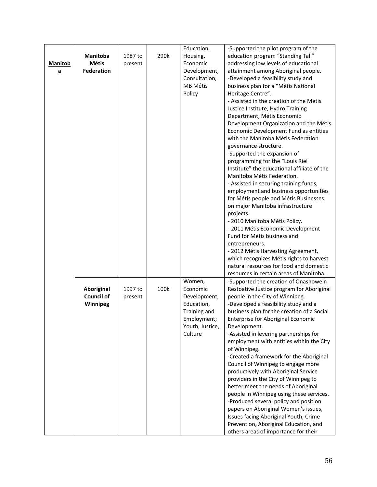|                         |                   |         |      | Education,      | -Supported the pilot program of the                                           |
|-------------------------|-------------------|---------|------|-----------------|-------------------------------------------------------------------------------|
|                         | <b>Manitoba</b>   | 1987 to | 290k | Housing,        | education program "Standing Tall"                                             |
| <b>Manitob</b>          | <b>Métis</b>      | present |      | Economic        | addressing low levels of educational                                          |
| $\overline{\mathbf{a}}$ | <b>Federation</b> |         |      | Development,    | attainment among Aboriginal people.                                           |
|                         |                   |         |      | Consultation,   | -Developed a feasibility study and                                            |
|                         |                   |         |      | MB Métis        | business plan for a "Métis National                                           |
|                         |                   |         |      | Policy          | Heritage Centre".                                                             |
|                         |                   |         |      |                 | - Assisted in the creation of the Métis                                       |
|                         |                   |         |      |                 | Justice Institute, Hydro Training                                             |
|                         |                   |         |      |                 |                                                                               |
|                         |                   |         |      |                 | Department, Métis Economic                                                    |
|                         |                   |         |      |                 | Development Organization and the Métis                                        |
|                         |                   |         |      |                 | Economic Development Fund as entities                                         |
|                         |                   |         |      |                 | with the Manitoba Métis Federation                                            |
|                         |                   |         |      |                 | governance structure.                                                         |
|                         |                   |         |      |                 | -Supported the expansion of                                                   |
|                         |                   |         |      |                 | programming for the "Louis Riel                                               |
|                         |                   |         |      |                 | Institute" the educational affiliate of the                                   |
|                         |                   |         |      |                 | Manitoba Métis Federation.                                                    |
|                         |                   |         |      |                 | - Assisted in securing training funds,                                        |
|                         |                   |         |      |                 | employment and business opportunities                                         |
|                         |                   |         |      |                 | for Métis people and Métis Businesses                                         |
|                         |                   |         |      |                 | on major Manitoba infrastructure                                              |
|                         |                   |         |      |                 | projects.                                                                     |
|                         |                   |         |      |                 | - 2010 Manitoba Métis Policy.                                                 |
|                         |                   |         |      |                 | - 2011 Métis Economic Development                                             |
|                         |                   |         |      |                 | Fund for Métis business and                                                   |
|                         |                   |         |      |                 | entrepreneurs.                                                                |
|                         |                   |         |      |                 | - 2012 Métis Harvesting Agreement,                                            |
|                         |                   |         |      |                 | which recognizes Métis rights to harvest                                      |
|                         |                   |         |      |                 | natural resources for food and domestic                                       |
|                         |                   |         |      |                 | resources in certain areas of Manitoba.                                       |
|                         |                   |         |      | Women,          | -Supported the creation of Onashowein                                         |
|                         | <b>Aboriginal</b> | 1997 to | 100k | Economic        | Restoative Justice program for Aboriginal                                     |
|                         | <b>Council of</b> | present |      | Development,    | people in the City of Winnipeg.                                               |
|                         | Winnipeg          |         |      | Education,      | -Developed a feasibility study and a                                          |
|                         |                   |         |      | Training and    | business plan for the creation of a Social                                    |
|                         |                   |         |      | Employment;     | Enterprise for Aboriginal Economic                                            |
|                         |                   |         |      | Youth, Justice, | Development.                                                                  |
|                         |                   |         |      | Culture         | -Assisted in levering partnerships for                                        |
|                         |                   |         |      |                 | employment with entities within the City                                      |
|                         |                   |         |      |                 | of Winnipeg.                                                                  |
|                         |                   |         |      |                 | -Created a framework for the Aboriginal                                       |
|                         |                   |         |      |                 | Council of Winnipeg to engage more                                            |
|                         |                   |         |      |                 | productively with Aboriginal Service                                          |
|                         |                   |         |      |                 | providers in the City of Winnipeg to                                          |
|                         |                   |         |      |                 | better meet the needs of Aboriginal                                           |
|                         |                   |         |      |                 | people in Winnipeg using these services.                                      |
|                         |                   |         |      |                 | -Produced several policy and position                                         |
|                         |                   |         |      |                 | papers on Aboriginal Women's issues,                                          |
|                         |                   |         |      |                 | Issues facing Aboriginal Youth, Crime                                         |
|                         |                   |         |      |                 | Prevention, Aboriginal Education, and<br>others areas of importance for their |
|                         |                   |         |      |                 |                                                                               |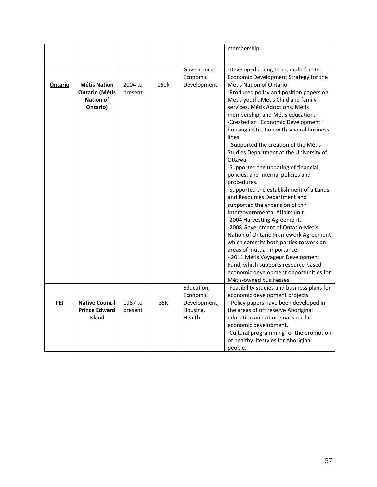|         |                                                                              |                    |      |                                         | membership.                                                                                                                                                                                                                                                                                                                                                                                                                                                                                                                                                                                                                                                                                                                                                                                                                                                                                                                                                                                                               |
|---------|------------------------------------------------------------------------------|--------------------|------|-----------------------------------------|---------------------------------------------------------------------------------------------------------------------------------------------------------------------------------------------------------------------------------------------------------------------------------------------------------------------------------------------------------------------------------------------------------------------------------------------------------------------------------------------------------------------------------------------------------------------------------------------------------------------------------------------------------------------------------------------------------------------------------------------------------------------------------------------------------------------------------------------------------------------------------------------------------------------------------------------------------------------------------------------------------------------------|
|         |                                                                              |                    |      |                                         |                                                                                                                                                                                                                                                                                                                                                                                                                                                                                                                                                                                                                                                                                                                                                                                                                                                                                                                                                                                                                           |
| Ontario | <b>Métis Nation</b><br><b>Ontario (Métis</b><br><b>Nation of</b><br>Ontario) | 2004 to<br>present | 150k | Governance,<br>Economic<br>Development. | -Developed a long term, multi faceted<br>Economic Development Strategy for the<br>Métis Nation of Ontario.<br>-Produced policy and position papers on<br>Métis youth, Métis Child and family<br>services, Métis Adoptions, Métis<br>membership, and Métis education.<br>-Created an "Economic Development"<br>housing institution with several business<br>lines.<br>- Supported the creation of the Métis<br>Studies Department at the University of<br>Ottawa.<br>-Supported the updating of financial<br>policies, and internal policies and<br>procedures.<br>-Supported the establishment of a Lands<br>and Resources Department and<br>supported the expansion of the<br>Intergovernmental Affairs unit.<br>-2004 Harvesting Agreement.<br>-2008 Government of Ontario-Métis<br>Nation of Ontario Framework Agreement<br>which commits both parties to work on<br>areas of mutual importance.<br>- 2011 Métis Voyageur Development<br>Fund, which supports resource-based<br>economic development opportunities for |
|         |                                                                              |                    |      |                                         | Métis-owned businesses.                                                                                                                                                                                                                                                                                                                                                                                                                                                                                                                                                                                                                                                                                                                                                                                                                                                                                                                                                                                                   |
|         |                                                                              |                    |      | Education,                              | -Feasibility studies and business plans for                                                                                                                                                                                                                                                                                                                                                                                                                                                                                                                                                                                                                                                                                                                                                                                                                                                                                                                                                                               |
| PEI     | <b>Native Council</b>                                                        | 1987 to            | 35K  | Economic<br>Development,                | economic development projects.<br>- Policy papers have been developed in                                                                                                                                                                                                                                                                                                                                                                                                                                                                                                                                                                                                                                                                                                                                                                                                                                                                                                                                                  |
|         | <b>Prince Edward</b>                                                         | present            |      | Housing,                                | the areas of off reserve Aboriginal                                                                                                                                                                                                                                                                                                                                                                                                                                                                                                                                                                                                                                                                                                                                                                                                                                                                                                                                                                                       |
|         | <b>Island</b>                                                                |                    |      | Health                                  | education and Aboriginal specific                                                                                                                                                                                                                                                                                                                                                                                                                                                                                                                                                                                                                                                                                                                                                                                                                                                                                                                                                                                         |
|         |                                                                              |                    |      |                                         | economic development.                                                                                                                                                                                                                                                                                                                                                                                                                                                                                                                                                                                                                                                                                                                                                                                                                                                                                                                                                                                                     |
|         |                                                                              |                    |      |                                         | -Cultural programming for the promotion<br>of healthy lifestyles for Aboriginal<br>people.                                                                                                                                                                                                                                                                                                                                                                                                                                                                                                                                                                                                                                                                                                                                                                                                                                                                                                                                |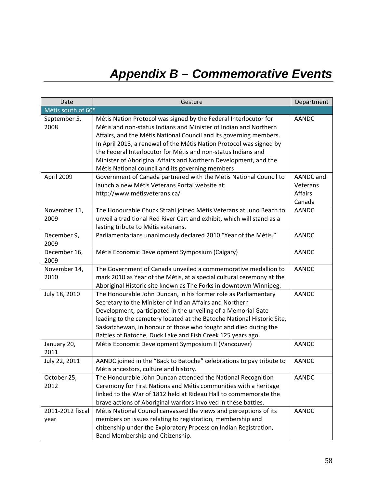# *Appendix B – Commemorative Events*

| Date                     | Gesture                                                                                                                                                                                                                                                                                                                                                                                                                                                                    | Department                                        |
|--------------------------|----------------------------------------------------------------------------------------------------------------------------------------------------------------------------------------------------------------------------------------------------------------------------------------------------------------------------------------------------------------------------------------------------------------------------------------------------------------------------|---------------------------------------------------|
| Métis south of 60º       |                                                                                                                                                                                                                                                                                                                                                                                                                                                                            |                                                   |
| September 5,<br>2008     | Métis Nation Protocol was signed by the Federal Interlocutor for<br>Métis and non-status Indians and Minister of Indian and Northern<br>Affairs, and the Métis National Council and its governing members.<br>In April 2013, a renewal of the Métis Nation Protocol was signed by<br>the Federal Interlocutor for Métis and non-status Indians and<br>Minister of Aboriginal Affairs and Northern Development, and the<br>Métis National council and its governing members | <b>AANDC</b>                                      |
| April 2009               | Government of Canada partnered with the Métis National Council to<br>launch a new Métis Veterans Portal website at:<br>http://www.métisveterans.ca/                                                                                                                                                                                                                                                                                                                        | AANDC and<br>Veterans<br><b>Affairs</b><br>Canada |
| November 11,<br>2009     | The Honourable Chuck Strahl joined Métis Veterans at Juno Beach to<br>unveil a traditional Red River Cart and exhibit, which will stand as a<br>lasting tribute to Métis veterans.                                                                                                                                                                                                                                                                                         | <b>AANDC</b>                                      |
| December 9,<br>2009      | Parliamentarians unanimously declared 2010 "Year of the Métis."                                                                                                                                                                                                                                                                                                                                                                                                            | <b>AANDC</b>                                      |
| December 16,<br>2009     | Métis Economic Development Symposium (Calgary)                                                                                                                                                                                                                                                                                                                                                                                                                             | <b>AANDC</b>                                      |
| November 14,<br>2010     | The Government of Canada unveiled a commemorative medallion to<br>mark 2010 as Year of the Métis, at a special cultural ceremony at the<br>Aboriginal Historic site known as The Forks in downtown Winnipeg.                                                                                                                                                                                                                                                               | <b>AANDC</b>                                      |
| July 18, 2010            | The Honourable John Duncan, in his former role as Parliamentary<br>Secretary to the Minister of Indian Affairs and Northern<br>Development, participated in the unveiling of a Memorial Gate<br>leading to the cemetery located at the Batoche National Historic Site,<br>Saskatchewan, in honour of those who fought and died during the<br>Battles of Batoche, Duck Lake and Fish Creek 125 years ago.                                                                   | <b>AANDC</b>                                      |
| January 20,<br>2011      | Métis Economic Development Symposium II (Vancouver)                                                                                                                                                                                                                                                                                                                                                                                                                        | <b>AANDC</b>                                      |
| July 22, 2011            | AANDC joined in the "Back to Batoche" celebrations to pay tribute to<br>Métis ancestors, culture and history.                                                                                                                                                                                                                                                                                                                                                              | <b>AANDC</b>                                      |
| October 25,<br>2012      | The Honourable John Duncan attended the National Recognition<br>Ceremony for First Nations and Métis communities with a heritage<br>linked to the War of 1812 held at Rideau Hall to commemorate the<br>brave actions of Aboriginal warriors involved in these battles.                                                                                                                                                                                                    | <b>AANDC</b>                                      |
| 2011-2012 fiscal<br>year | Métis National Council canvassed the views and perceptions of its<br>members on issues relating to registration, membership and<br>citizenship under the Exploratory Process on Indian Registration,<br>Band Membership and Citizenship.                                                                                                                                                                                                                                   | <b>AANDC</b>                                      |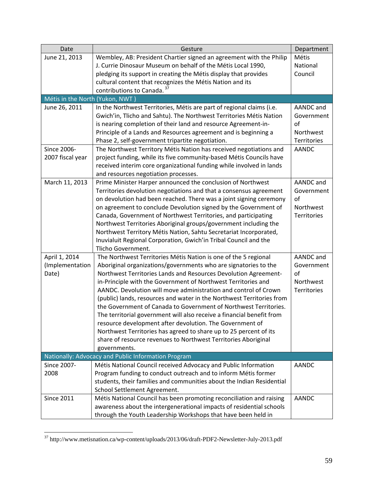| Date                            | Gesture                                                               | Department  |
|---------------------------------|-----------------------------------------------------------------------|-------------|
| June 21, 2013                   | Wembley, AB: President Chartier signed an agreement with the Philip   | Métis       |
|                                 | J. Currie Dinosaur Museum on behalf of the Métis Local 1990,          | National    |
|                                 | pledging its support in creating the Métis display that provides      | Council     |
|                                 | cultural content that recognizes the Métis Nation and its             |             |
|                                 | contributions to Canada. 37                                           |             |
| Métis in the North (Yukon, NWT) |                                                                       |             |
| June 26, 2011                   | In the Northwest Territories, Métis are part of regional claims (i.e. | AANDC and   |
|                                 | Gwich'in, Tlicho and Sahtu). The Northwest Territories Métis Nation   | Government  |
|                                 | is nearing completion of their land and resource Agreement-in-        | of          |
|                                 | Principle of a Lands and Resources agreement and is beginning a       | Northwest   |
|                                 | Phase 2, self-government tripartite negotiation.                      | Territories |
| Since 2006-                     | The Northwest Territory Métis Nation has received negotiations and    | AANDC       |
| 2007 fiscal year                | project funding, while its five community-based Métis Councils have   |             |
|                                 | received interim core organizational funding while involved in lands  |             |
|                                 | and resources negotiation processes.                                  |             |
| March 11, 2013                  | Prime Minister Harper announced the conclusion of Northwest           | AANDC and   |
|                                 | Territories devolution negotiations and that a consensus agreement    | Government  |
|                                 | on devolution had been reached. There was a joint signing ceremony    | of          |
|                                 | on agreement to conclude Devolution signed by the Government of       | Northwest   |
|                                 | Canada, Government of Northwest Territories, and participating        | Territories |
|                                 | Northwest Territories Aboriginal groups/government including the      |             |
|                                 | Northwest Territory Métis Nation, Sahtu Secretariat Incorporated,     |             |
|                                 | Inuvialuit Regional Corporation, Gwich'in Tribal Council and the      |             |
|                                 | Tlicho Government.                                                    |             |
| April 1, 2014                   | The Northwest Territories Métis Nation is one of the 5 regional       | AANDC and   |
| (Implementation                 | Aboriginal organizations/governments who are signatories to the       | Government  |
| Date)                           | Northwest Territories Lands and Resources Devolution Agreement-       | of          |
|                                 | in-Principle with the Government of Northwest Territories and         | Northwest   |
|                                 | AANDC. Devolution will move administration and control of Crown       | Territories |
|                                 | (public) lands, resources and water in the Northwest Territories from |             |
|                                 | the Government of Canada to Government of Northwest Territories.      |             |
|                                 | The territorial government will also receive a financial benefit from |             |
|                                 | resource development after devolution. The Government of              |             |
|                                 | Northwest Territories has agreed to share up to 25 percent of its     |             |
|                                 | share of resource revenues to Northwest Territories Aboriginal        |             |
|                                 | governments.                                                          |             |
|                                 | Nationally: Advocacy and Public Information Program                   |             |
| Since 2007-                     | Métis National Council received Advocacy and Public Information       | AANDC       |
| 2008                            | Program funding to conduct outreach and to inform Métis former        |             |
|                                 | students, their families and communities about the Indian Residential |             |
|                                 | School Settlement Agreement.                                          |             |
| <b>Since 2011</b>               | Métis National Council has been promoting reconciliation and raising  | AANDC       |
|                                 | awareness about the intergenerational impacts of residential schools  |             |
|                                 | through the Youth Leadership Workshops that have been held in         |             |

 $37$  http://www.metisnation.ca/wp-content/uploads/2013/06/draft-PDF2-Newsletter-July-2013.pdf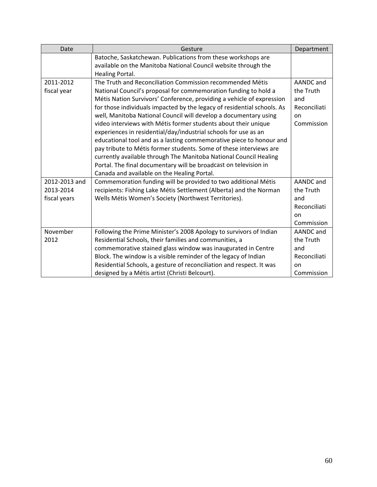| Date          | Gesture                                                                 | Department   |
|---------------|-------------------------------------------------------------------------|--------------|
|               | Batoche, Saskatchewan. Publications from these workshops are            |              |
|               | available on the Manitoba National Council website through the          |              |
|               | Healing Portal.                                                         |              |
| 2011-2012     | The Truth and Reconciliation Commission recommended Métis               | AANDC and    |
| fiscal year   | National Council's proposal for commemoration funding to hold a         | the Truth    |
|               | Métis Nation Survivors' Conference, providing a vehicle of expression   | and          |
|               | for those individuals impacted by the legacy of residential schools. As | Reconciliati |
|               | well, Manitoba National Council will develop a documentary using        | on           |
|               | video interviews with Métis former students about their unique          | Commission   |
|               | experiences in residential/day/industrial schools for use as an         |              |
|               | educational tool and as a lasting commemorative piece to honour and     |              |
|               | pay tribute to Métis former students. Some of these interviews are      |              |
|               | currently available through The Manitoba National Council Healing       |              |
|               | Portal. The final documentary will be broadcast on television in        |              |
|               | Canada and available on the Healing Portal.                             |              |
| 2012-2013 and | Commemoration funding will be provided to two additional Métis          | AANDC and    |
| 2013-2014     | recipients: Fishing Lake Métis Settlement (Alberta) and the Norman      | the Truth    |
| fiscal years  | Wells Métis Women's Society (Northwest Territories).                    | and          |
|               |                                                                         | Reconciliati |
|               |                                                                         | on           |
|               |                                                                         | Commission   |
| November      | Following the Prime Minister's 2008 Apology to survivors of Indian      | AANDC and    |
| 2012          | Residential Schools, their families and communities, a                  | the Truth    |
|               | commemorative stained glass window was inaugurated in Centre            | and          |
|               | Block. The window is a visible reminder of the legacy of Indian         | Reconciliati |
|               | Residential Schools, a gesture of reconciliation and respect. It was    | on           |
|               | designed by a Métis artist (Christi Belcourt).                          | Commission   |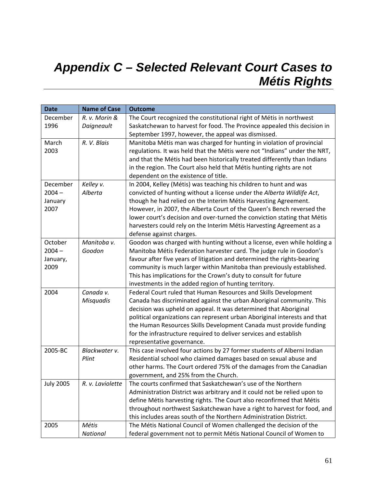## *Appendix C – Selected Relevant Court Cases to Métis Rights*

| <b>Date</b>      | <b>Name of Case</b> | <b>Outcome</b>                                                            |
|------------------|---------------------|---------------------------------------------------------------------------|
| December         | R. v. Morin &       | The Court recognized the constitutional right of Métis in northwest       |
| 1996             | Daigneault          | Saskatchewan to harvest for food. The Province appealed this decision in  |
|                  |                     | September 1997, however, the appeal was dismissed.                        |
| March            | R. V. Blais         | Manitoba Métis man was charged for hunting in violation of provincial     |
| 2003             |                     | regulations. It was held that the Métis were not "Indians" under the NRT, |
|                  |                     | and that the Métis had been historically treated differently than Indians |
|                  |                     | in the region. The Court also held that Métis hunting rights are not      |
|                  |                     | dependent on the existence of title.                                      |
| December         | Kelley v.           | In 2004, Kelley (Métis) was teaching his children to hunt and was         |
| $2004 -$         | Alberta             | convicted of hunting without a license under the Alberta Wildlife Act,    |
| January          |                     | though he had relied on the Interim Métis Harvesting Agreement.           |
| 2007             |                     | However, in 2007, the Alberta Court of the Queen's Bench reversed the     |
|                  |                     | lower court's decision and over-turned the conviction stating that Métis  |
|                  |                     | harvesters could rely on the Interim Métis Harvesting Agreement as a      |
|                  |                     | defense against charges.                                                  |
| October          | Manitoba v.         | Goodon was charged with hunting without a license, even while holding a   |
| $2004 -$         | Goodon              | Manitoba Métis Federation harvester card. The judge rule in Goodon's      |
| January,         |                     | favour after five years of litigation and determined the rights-bearing   |
| 2009             |                     | community is much larger within Manitoba than previously established.     |
|                  |                     | This has implications for the Crown's duty to consult for future          |
|                  |                     | investments in the added region of hunting territory.                     |
| 2004             | Canada v.           | Federal Court ruled that Human Resources and Skills Development           |
|                  | <b>Misquadis</b>    | Canada has discriminated against the urban Aboriginal community. This     |
|                  |                     | decision was upheld on appeal. It was determined that Aboriginal          |
|                  |                     | political organizations can represent urban Aboriginal interests and that |
|                  |                     | the Human Resources Skills Development Canada must provide funding        |
|                  |                     | for the infrastructure required to deliver services and establish         |
|                  |                     | representative governance.                                                |
| 2005-BC          | Blackwater v.       | This case involved four actions by 27 former students of Alberni Indian   |
|                  | Plint               | Residential school who claimed damages based on sexual abuse and          |
|                  |                     | other harms. The Court ordered 75% of the damages from the Canadian       |
|                  |                     | government, and 25% from the Church.                                      |
| <b>July 2005</b> | R. v. Laviolette    | The courts confirmed that Saskatchewan's use of the Northern              |
|                  |                     | Administration District was arbitrary and it could not be relied upon to  |
|                  |                     | define Métis harvesting rights. The Court also reconfirmed that Métis     |
|                  |                     | throughout northwest Saskatchewan have a right to harvest for food, and   |
|                  |                     | this includes areas south of the Northern Administration District.        |
| 2005             | Métis               | The Métis National Council of Women challenged the decision of the        |
|                  | National            | federal government not to permit Métis National Council of Women to       |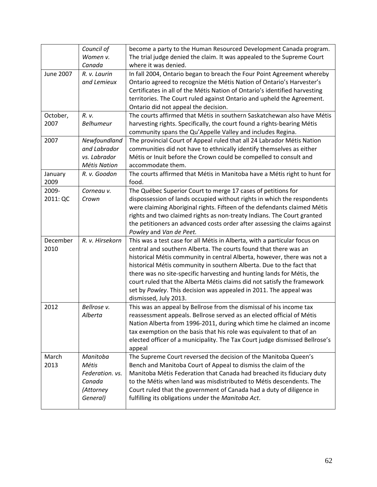|           | Council of<br>Women v. | become a party to the Human Resourced Development Canada program.<br>The trial judge denied the claim. It was appealed to the Supreme Court     |
|-----------|------------------------|-------------------------------------------------------------------------------------------------------------------------------------------------|
|           | Canada                 | where it was denied.                                                                                                                            |
| June 2007 | R. v. Laurin           | In fall 2004, Ontario began to breach the Four Point Agreement whereby                                                                          |
|           | and Lemieux            | Ontario agreed to recognize the Métis Nation of Ontario's Harvester's                                                                           |
|           |                        | Certificates in all of the Métis Nation of Ontario's identified harvesting                                                                      |
|           |                        | territories. The Court ruled against Ontario and upheld the Agreement.                                                                          |
|           |                        | Ontario did not appeal the decision.                                                                                                            |
| October,  | R. v.                  | The courts affirmed that Métis in southern Saskatchewan also have Métis                                                                         |
| 2007      | Belhumeur              | harvesting rights. Specifically, the court found a rights-bearing Métis                                                                         |
|           |                        | community spans the Qu'Appelle Valley and includes Regina.                                                                                      |
| 2007      | Newfoundland           | The provincial Court of Appeal ruled that all 24 Labrador Métis Nation                                                                          |
|           | and Labrador           | communities did not have to ethnically identify themselves as either                                                                            |
|           | vs. Labrador           | Métis or Inuit before the Crown could be compelled to consult and                                                                               |
|           | <b>Métis Nation</b>    | accommodate them.                                                                                                                               |
| January   | R. v. Goodon           | The courts affirmed that Métis in Manitoba have a Métis right to hunt for                                                                       |
| 2009      |                        | food.                                                                                                                                           |
| 2009-     | Corneau v.             | The Québec Superior Court to merge 17 cases of petitions for                                                                                    |
| 2011: QC  | Crown                  | dispossession of lands occupied without rights in which the respondents                                                                         |
|           |                        | were claiming Aboriginal rights. Fifteen of the defendants claimed Métis                                                                        |
|           |                        | rights and two claimed rights as non-treaty Indians. The Court granted                                                                          |
|           |                        | the petitioners an advanced costs order after assessing the claims against                                                                      |
|           |                        | Powley and Van de Peet.                                                                                                                         |
| December  | R. v. Hirsekorn        | This was a test case for all Métis in Alberta, with a particular focus on<br>central and southern Alberta. The courts found that there was an   |
| 2010      |                        |                                                                                                                                                 |
|           |                        | historical Métis community in central Alberta, however, there was not a<br>historical Métis community in southern Alberta. Due to the fact that |
|           |                        | there was no site-specific harvesting and hunting lands for Métis, the                                                                          |
|           |                        | court ruled that the Alberta Métis claims did not satisfy the framework                                                                         |
|           |                        | set by Powley. This decision was appealed in 2011. The appeal was                                                                               |
|           |                        | dismissed, July 2013.                                                                                                                           |
| 2012      | Bellrose v.            | This was an appeal by Bellrose from the dismissal of his income tax                                                                             |
|           | Alberta                | reassessment appeals. Bellrose served as an elected official of Métis                                                                           |
|           |                        | Nation Alberta from 1996-2011, during which time he claimed an income                                                                           |
|           |                        | tax exemption on the basis that his role was equivalent to that of an                                                                           |
|           |                        | elected officer of a municipality. The Tax Court judge dismissed Bellrose's                                                                     |
|           |                        | appeal                                                                                                                                          |
| March     | Manitoba               | The Supreme Court reversed the decision of the Manitoba Queen's                                                                                 |
| 2013      | Métis                  | Bench and Manitoba Court of Appeal to dismiss the claim of the                                                                                  |
|           | Federation. vs.        | Manitoba Métis Federation that Canada had breached its fiduciary duty                                                                           |
|           | Canada                 | to the Métis when land was misdistributed to Métis descendents. The                                                                             |
|           | (Attorney              | Court ruled that the government of Canada had a duty of diligence in                                                                            |
|           | General)               | fulfilling its obligations under the Manitoba Act.                                                                                              |
|           |                        |                                                                                                                                                 |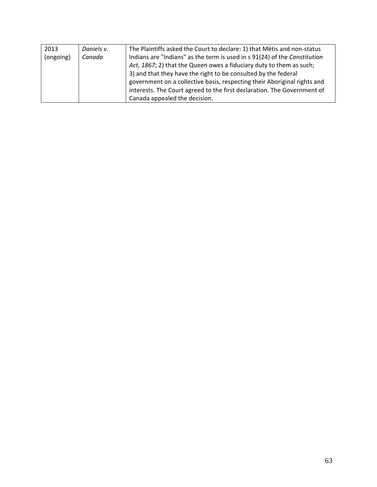| 2013      | Daniels v. | The Plaintiffs asked the Court to declare: 1) that Métis and non-status   |
|-----------|------------|---------------------------------------------------------------------------|
| (ongoing) | Canada     | Indians are "Indians" as the term is used in s 91(24) of the Constitution |
|           |            | Act, 1867; 2) that the Queen owes a fiduciary duty to them as such;       |
|           |            | 3) and that they have the right to be consulted by the federal            |
|           |            | government on a collective basis, respecting their Aboriginal rights and  |
|           |            | interests. The Court agreed to the first declaration. The Government of   |
|           |            | Canada appealed the decision.                                             |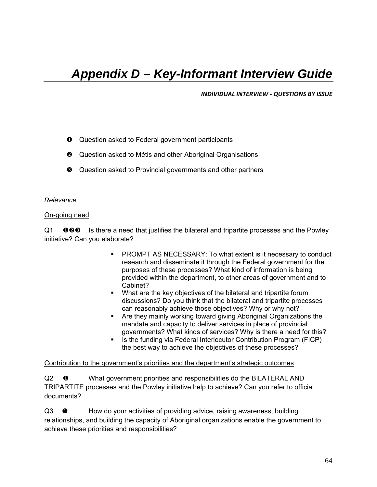### *Appendix D – Key-Informant Interview Guide*

*INDIVIDUAL INTERVIEW ‐ QUESTIONS BY ISSUE*

- **Q** Question asked to Federal government participants
- **<sup>3</sup>** Question asked to Métis and other Aboriginal Organisations
- $\Theta$  Question asked to Provincial governments and other partners

#### *Relevance*

#### On-going need

 $Q1$  **000** Is there a need that justifies the bilateral and tripartite processes and the Powley initiative? Can you elaborate?

- PROMPT AS NECESSARY: To what extent is it necessary to conduct research and disseminate it through the Federal government for the purposes of these processes? What kind of information is being provided within the department, to other areas of government and to Cabinet?
- What are the key objectives of the bilateral and tripartite forum discussions? Do you think that the bilateral and tripartite processes can reasonably achieve those objectives? Why or why not?
- Are they mainly working toward giving Aboriginal Organizations the mandate and capacity to deliver services in place of provincial governments? What kinds of services? Why is there a need for this?
- Is the funding via Federal Interlocutor Contribution Program (FICP) the best way to achieve the objectives of these processes?

#### Contribution to the government's priorities and the department's strategic outcomes

Q2  $\bullet$  What government priorities and responsibilities do the BILATERAL AND TRIPARTITE processes and the Powley initiative help to achieve? Can you refer to official documents?

Q3 **O** How do your activities of providing advice, raising awareness, building relationships, and building the capacity of Aboriginal organizations enable the government to achieve these priorities and responsibilities?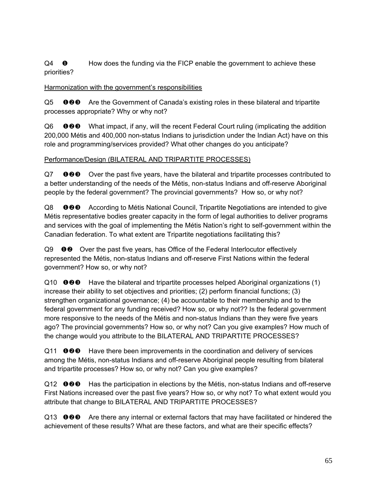$Q4 \quad \bullet \quad$  How does the funding via the FICP enable the government to achieve these priorities?

### Harmonization with the government's responsibilities

Q5 **OOO** Are the Government of Canada's existing roles in these bilateral and tripartite processes appropriate? Why or why not?

Q6 What impact, if any, will the recent Federal Court ruling (implicating the addition 200,000 Métis and 400,000 non-status Indians to jurisdiction under the Indian Act) have on this role and programming/services provided? What other changes do you anticipate?

### Performance/Design (BILATERAL AND TRIPARTITE PROCESSES)

Q7 **OOO** Over the past five years, have the bilateral and tripartite processes contributed to a better understanding of the needs of the Métis, non-status Indians and off-reserve Aboriginal people by the federal government? The provincial governments? How so, or why not?

Q8 **OOO** According to Métis National Council, Tripartite Negotiations are intended to give Métis representative bodies greater capacity in the form of legal authorities to deliver programs and services with the goal of implementing the Métis Nation's right to self-government within the Canadian federation. To what extent are Tripartite negotiations facilitating this?

 $Q9 \quad \bullet \bullet$  Over the past five years, has Office of the Federal Interlocutor effectively represented the Métis, non-status Indians and off-reserve First Nations within the federal government? How so, or why not?

 $Q10$  **OOO** Have the bilateral and tripartite processes helped Aboriginal organizations (1) increase their ability to set objectives and priorities; (2) perform financial functions; (3) strengthen organizational governance; (4) be accountable to their membership and to the federal government for any funding received? How so, or why not?? Is the federal government more responsive to the needs of the Métis and non-status Indians than they were five years ago? The provincial governments? How so, or why not? Can you give examples? How much of the change would you attribute to the BILATERAL AND TRIPARTITE PROCESSES?

 $Q11$  **OOO** Have there been improvements in the coordination and delivery of services among the Métis, non-status Indians and off-reserve Aboriginal people resulting from bilateral and tripartite processes? How so, or why not? Can you give examples?

 $Q12$  **OOO** Has the participation in elections by the Métis, non-status Indians and off-reserve First Nations increased over the past five years? How so, or why not? To what extent would you attribute that change to BILATERAL AND TRIPARTITE PROCESSES?

 $Q13$  **OOO** Are there any internal or external factors that may have facilitated or hindered the achievement of these results? What are these factors, and what are their specific effects?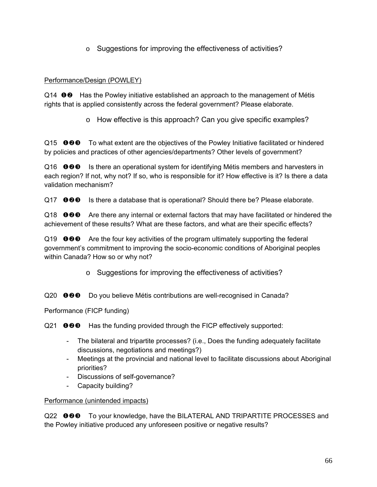o Suggestions for improving the effectiveness of activities?

# Performance/Design (POWLEY)

Q14 **OO** Has the Powley initiative established an approach to the management of Métis rights that is applied consistently across the federal government? Please elaborate.

o How effective is this approach? Can you give specific examples?

 $Q15$   $\bullet$   $\bullet$   $\bullet$  To what extent are the objectives of the Powley Initiative facilitated or hindered by policies and practices of other agencies/departments? Other levels of government?

 $Q16$  **OOO** Is there an operational system for identifying Métis members and harvesters in each region? If not, why not? If so, who is responsible for it? How effective is it? Is there a data validation mechanism?

 $Q17$  **OOO** Is there a database that is operational? Should there be? Please elaborate.

 $Q18$  **OOO** Are there any internal or external factors that may have facilitated or hindered the achievement of these results? What are these factors, and what are their specific effects?

 $Q19$  **OOO** Are the four key activities of the program ultimately supporting the federal government's commitment to improving the socio-economic conditions of Aboriginal peoples within Canada? How so or why not?

o Suggestions for improving the effectiveness of activities?

Q20 **OOO** Do you believe Métis contributions are well-recognised in Canada?

Performance (FICP funding)

 $Q21$   $\bullet$   $\bullet$   $\bullet$  Has the funding provided through the FICP effectively supported:

- The bilateral and tripartite processes? (i.e., Does the funding adequately facilitate discussions, negotiations and meetings?)
- Meetings at the provincial and national level to facilitate discussions about Aboriginal priorities?
- Discussions of self-governance?
- Capacity building?

## Performance (unintended impacts)

Q22 **000** To your knowledge, have the BILATERAL AND TRIPARTITE PROCESSES and the Powley initiative produced any unforeseen positive or negative results?